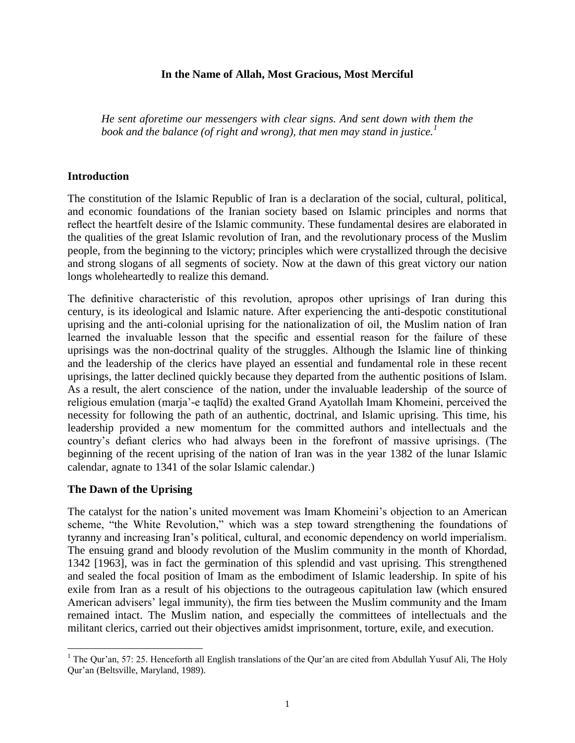#### **In the Name of Allah, Most Gracious, Most Merciful**

*He sent aforetime our messengers with clear signs. And sent down with them the book and the balance (of right and wrong), that men may stand in justice.<sup>1</sup>*

#### **Introduction**

The constitution of the Islamic Republic of Iran is a declaration of the social, cultural, political, and economic foundations of the Iranian society based on Islamic principles and norms that reflect the heartfelt desire of the Islamic community. These fundamental desires are elaborated in the qualities of the great Islamic revolution of Iran, and the revolutionary process of the Muslim people, from the beginning to the victory; principles which were crystallized through the decisive and strong slogans of all segments of society. Now at the dawn of this great victory our nation longs wholeheartedly to realize this demand.

The definitive characteristic of this revolution, apropos other uprisings of Iran during this century, is its ideological and Islamic nature. After experiencing the anti-despotic constitutional uprising and the anti-colonial uprising for the nationalization of oil, the Muslim nation of Iran learned the invaluable lesson that the specific and essential reason for the failure of these uprisings was the non-doctrinal quality of the struggles. Although the Islamic line of thinking and the leadership of the clerics have played an essential and fundamental role in these recent uprisings, the latter declined quickly because they departed from the authentic positions of Islam. As a result, the alert conscience of the nation, under the invaluable leadership of the source of religious emulation (marja'-e taqlīd) the exalted Grand Ayatollah Imam Khomeini, perceived the necessity for following the path of an authentic, doctrinal, and Islamic uprising. This time, his leadership provided a new momentum for the committed authors and intellectuals and the country's defiant clerics who had always been in the forefront of massive uprisings. (The beginning of the recent uprising of the nation of Iran was in the year 1382 of the lunar Islamic calendar, agnate to 1341 of the solar Islamic calendar.)

#### **The Dawn of the Uprising**

The catalyst for the nation's united movement was Imam Khomeini's objection to an American scheme, "the White Revolution," which was a step toward strengthening the foundations of tyranny and increasing Iran's political, cultural, and economic dependency on world imperialism. The ensuing grand and bloody revolution of the Muslim community in the month of Khordad, 1342 [1963], was in fact the germination of this splendid and vast uprising. This strengthened and sealed the focal position of Imam as the embodiment of Islamic leadership. In spite of his exile from Iran as a result of his objections to the outrageous capitulation law (which ensured American advisers' legal immunity), the firm ties between the Muslim community and the Imam remained intact. The Muslim nation, and especially the committees of intellectuals and the militant clerics, carried out their objectives amidst imprisonment, torture, exile, and execution.

 $\overline{\phantom{a}}$ <sup>1</sup> The Qur'an, 57: 25. Henceforth all English translations of the Qur'an are cited from Abdullah Yusuf Ali, The Holy Qur'an (Beltsville, Maryland, 1989).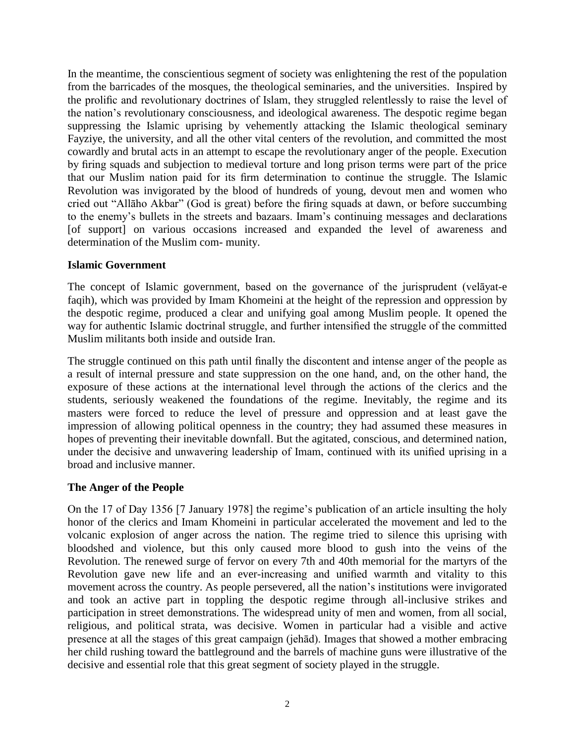In the meantime, the conscientious segment of society was enlightening the rest of the population from the barricades of the mosques, the theological seminaries, and the universities. Inspired by the prolific and revolutionary doctrines of Islam, they struggled relentlessly to raise the level of the nation's revolutionary consciousness, and ideological awareness. The despotic regime began suppressing the Islamic uprising by vehemently attacking the Islamic theological seminary Fayziye, the university, and all the other vital centers of the revolution, and committed the most cowardly and brutal acts in an attempt to escape the revolutionary anger of the people. Execution by firing squads and subjection to medieval torture and long prison terms were part of the price that our Muslim nation paid for its firm determination to continue the struggle. The Islamic Revolution was invigorated by the blood of hundreds of young, devout men and women who cried out "Allāho Akbar" (God is great) before the firing squads at dawn, or before succumbing to the enemy's bullets in the streets and bazaars. Imam's continuing messages and declarations [of support] on various occasions increased and expanded the level of awareness and determination of the Muslim com- munity.

#### **Islamic Government**

The concept of Islamic government, based on the governance of the jurisprudent (velāyat-e faqih), which was provided by Imam Khomeini at the height of the repression and oppression by the despotic regime, produced a clear and unifying goal among Muslim people. It opened the way for authentic Islamic doctrinal struggle, and further intensified the struggle of the committed Muslim militants both inside and outside Iran.

The struggle continued on this path until finally the discontent and intense anger of the people as a result of internal pressure and state suppression on the one hand, and, on the other hand, the exposure of these actions at the international level through the actions of the clerics and the students, seriously weakened the foundations of the regime. Inevitably, the regime and its masters were forced to reduce the level of pressure and oppression and at least gave the impression of allowing political openness in the country; they had assumed these measures in hopes of preventing their inevitable downfall. But the agitated, conscious, and determined nation, under the decisive and unwavering leadership of Imam, continued with its unified uprising in a broad and inclusive manner.

# **The Anger of the People**

On the 17 of Day 1356 [7 January 1978] the regime's publication of an article insulting the holy honor of the clerics and Imam Khomeini in particular accelerated the movement and led to the volcanic explosion of anger across the nation. The regime tried to silence this uprising with bloodshed and violence, but this only caused more blood to gush into the veins of the Revolution. The renewed surge of fervor on every 7th and 40th memorial for the martyrs of the Revolution gave new life and an ever-increasing and unified warmth and vitality to this movement across the country. As people persevered, all the nation's institutions were invigorated and took an active part in toppling the despotic regime through all-inclusive strikes and participation in street demonstrations. The widespread unity of men and women, from all social, religious, and political strata, was decisive. Women in particular had a visible and active presence at all the stages of this great campaign (jehād). Images that showed a mother embracing her child rushing toward the battleground and the barrels of machine guns were illustrative of the decisive and essential role that this great segment of society played in the struggle.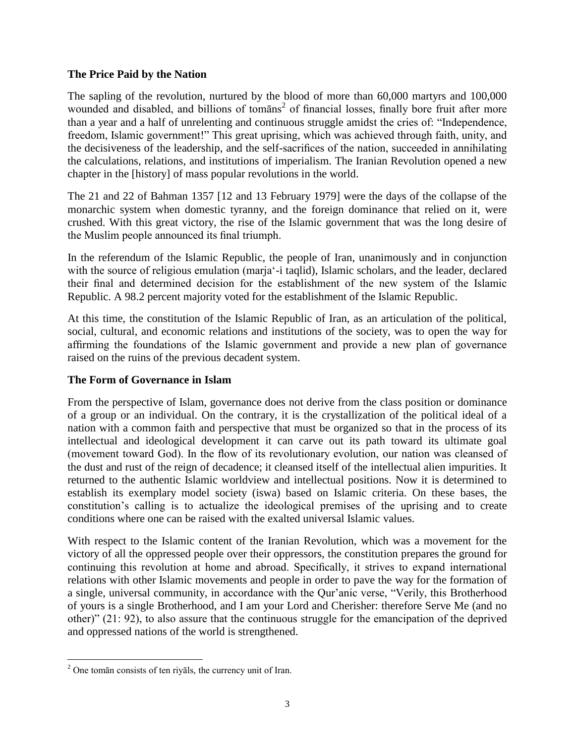#### **The Price Paid by the Nation**

The sapling of the revolution, nurtured by the blood of more than 60,000 martyrs and 100,000 wounded and disabled, and billions of tomāns<sup>2</sup> of financial losses, finally bore fruit after more than a year and a half of unrelenting and continuous struggle amidst the cries of: "Independence, freedom, Islamic government!" This great uprising, which was achieved through faith, unity, and the decisiveness of the leadership, and the self-sacrifices of the nation, succeeded in annihilating the calculations, relations, and institutions of imperialism. The Iranian Revolution opened a new chapter in the [history] of mass popular revolutions in the world.

The 21 and 22 of Bahman 1357 [12 and 13 February 1979] were the days of the collapse of the monarchic system when domestic tyranny, and the foreign dominance that relied on it, were crushed. With this great victory, the rise of the Islamic government that was the long desire of the Muslim people announced its final triumph.

In the referendum of the Islamic Republic, the people of Iran, unanimously and in conjunction with the source of religious emulation (marja'-i taqlid), Islamic scholars, and the leader, declared their final and determined decision for the establishment of the new system of the Islamic Republic. A 98.2 percent majority voted for the establishment of the Islamic Republic.

At this time, the constitution of the Islamic Republic of Iran, as an articulation of the political, social, cultural, and economic relations and institutions of the society, was to open the way for affirming the foundations of the Islamic government and provide a new plan of governance raised on the ruins of the previous decadent system.

# **The Form of Governance in Islam**

From the perspective of Islam, governance does not derive from the class position or dominance of a group or an individual. On the contrary, it is the crystallization of the political ideal of a nation with a common faith and perspective that must be organized so that in the process of its intellectual and ideological development it can carve out its path toward its ultimate goal (movement toward God). In the flow of its revolutionary evolution, our nation was cleansed of the dust and rust of the reign of decadence; it cleansed itself of the intellectual alien impurities. It returned to the authentic Islamic worldview and intellectual positions. Now it is determined to establish its exemplary model society (iswa) based on Islamic criteria. On these bases, the constitution's calling is to actualize the ideological premises of the uprising and to create conditions where one can be raised with the exalted universal Islamic values.

With respect to the Islamic content of the Iranian Revolution, which was a movement for the victory of all the oppressed people over their oppressors, the constitution prepares the ground for continuing this revolution at home and abroad. Specifically, it strives to expand international relations with other Islamic movements and people in order to pave the way for the formation of a single, universal community, in accordance with the Qur'anic verse, "Verily, this Brotherhood of yours is a single Brotherhood, and I am your Lord and Cherisher: therefore Serve Me (and no other)" (21: 92), to also assure that the continuous struggle for the emancipation of the deprived and oppressed nations of the world is strengthened.

 $\overline{\phantom{a}}$  $2^{\circ}$  One tomān consists of ten riyals, the currency unit of Iran.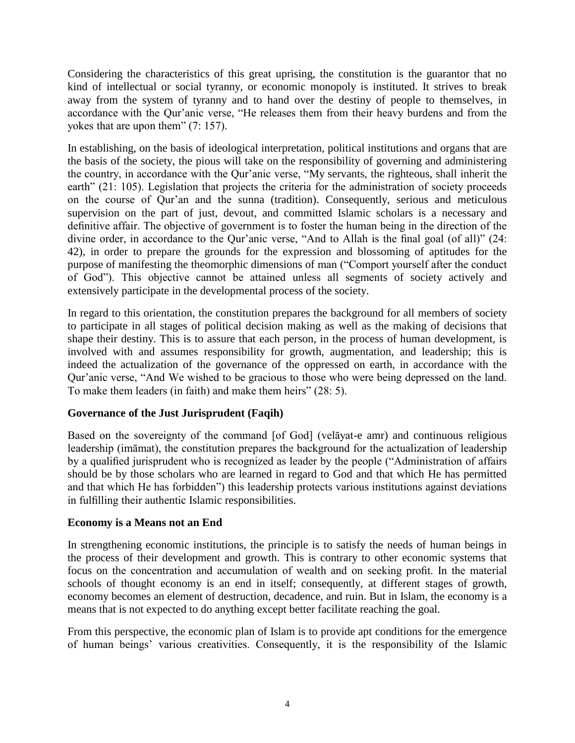Considering the characteristics of this great uprising, the constitution is the guarantor that no kind of intellectual or social tyranny, or economic monopoly is instituted. It strives to break away from the system of tyranny and to hand over the destiny of people to themselves, in accordance with the Qur'anic verse, "He releases them from their heavy burdens and from the yokes that are upon them" (7: 157).

In establishing, on the basis of ideological interpretation, political institutions and organs that are the basis of the society, the pious will take on the responsibility of governing and administering the country, in accordance with the Qur'anic verse, "My servants, the righteous, shall inherit the earth" (21: 105). Legislation that projects the criteria for the administration of society proceeds on the course of Qur'an and the sunna (tradition). Consequently, serious and meticulous supervision on the part of just, devout, and committed Islamic scholars is a necessary and definitive affair. The objective of government is to foster the human being in the direction of the divine order, in accordance to the Qur'anic verse, "And to Allah is the final goal (of all)" (24: 42), in order to prepare the grounds for the expression and blossoming of aptitudes for the purpose of manifesting the theomorphic dimensions of man ("Comport yourself after the conduct of God"). This objective cannot be attained unless all segments of society actively and extensively participate in the developmental process of the society.

In regard to this orientation, the constitution prepares the background for all members of society to participate in all stages of political decision making as well as the making of decisions that shape their destiny. This is to assure that each person, in the process of human development, is involved with and assumes responsibility for growth, augmentation, and leadership; this is indeed the actualization of the governance of the oppressed on earth, in accordance with the Qur'anic verse, "And We wished to be gracious to those who were being depressed on the land. To make them leaders (in faith) and make them heirs" (28: 5).

# **Governance of the Just Jurisprudent (Faqih)**

Based on the sovereignty of the command [of God] (velāyat-e amr) and continuous religious leadership (imāmat), the constitution prepares the background for the actualization of leadership by a qualified jurisprudent who is recognized as leader by the people ("Administration of affairs should be by those scholars who are learned in regard to God and that which He has permitted and that which He has forbidden") this leadership protects various institutions against deviations in fulfilling their authentic Islamic responsibilities.

#### **Economy is a Means not an End**

In strengthening economic institutions, the principle is to satisfy the needs of human beings in the process of their development and growth. This is contrary to other economic systems that focus on the concentration and accumulation of wealth and on seeking profit. In the material schools of thought economy is an end in itself; consequently, at different stages of growth, economy becomes an element of destruction, decadence, and ruin. But in Islam, the economy is a means that is not expected to do anything except better facilitate reaching the goal.

From this perspective, the economic plan of Islam is to provide apt conditions for the emergence of human beings' various creativities. Consequently, it is the responsibility of the Islamic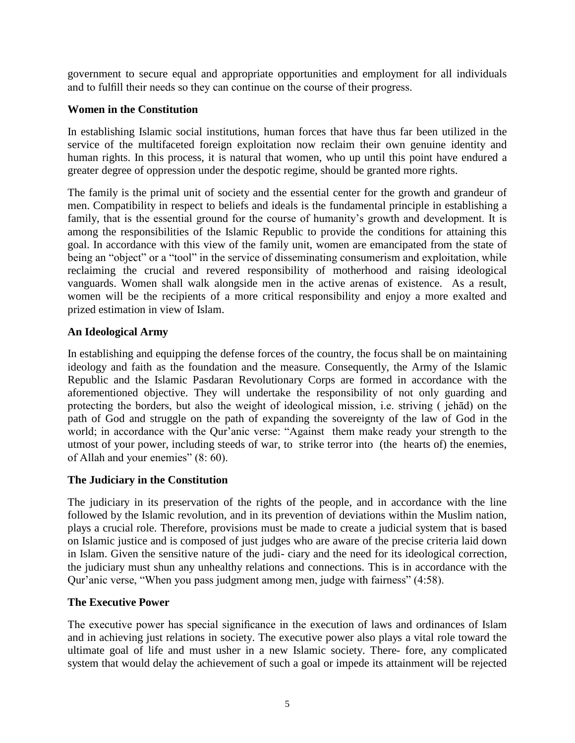government to secure equal and appropriate opportunities and employment for all individuals and to fulfill their needs so they can continue on the course of their progress.

#### **Women in the Constitution**

In establishing Islamic social institutions, human forces that have thus far been utilized in the service of the multifaceted foreign exploitation now reclaim their own genuine identity and human rights. In this process, it is natural that women, who up until this point have endured a greater degree of oppression under the despotic regime, should be granted more rights.

The family is the primal unit of society and the essential center for the growth and grandeur of men. Compatibility in respect to beliefs and ideals is the fundamental principle in establishing a family, that is the essential ground for the course of humanity's growth and development. It is among the responsibilities of the Islamic Republic to provide the conditions for attaining this goal. In accordance with this view of the family unit, women are emancipated from the state of being an "object" or a "tool" in the service of disseminating consumerism and exploitation, while reclaiming the crucial and revered responsibility of motherhood and raising ideological vanguards. Women shall walk alongside men in the active arenas of existence. As a result, women will be the recipients of a more critical responsibility and enjoy a more exalted and prized estimation in view of Islam.

#### **An Ideological Army**

In establishing and equipping the defense forces of the country, the focus shall be on maintaining ideology and faith as the foundation and the measure. Consequently, the Army of the Islamic Republic and the Islamic Pasdaran Revolutionary Corps are formed in accordance with the aforementioned objective. They will undertake the responsibility of not only guarding and protecting the borders, but also the weight of ideological mission, i.e. striving ( jehād) on the path of God and struggle on the path of expanding the sovereignty of the law of God in the world; in accordance with the Qur'anic verse: "Against them make ready your strength to the utmost of your power, including steeds of war, to strike terror into (the hearts of) the enemies, of Allah and your enemies" (8: 60).

# **The Judiciary in the Constitution**

The judiciary in its preservation of the rights of the people, and in accordance with the line followed by the Islamic revolution, and in its prevention of deviations within the Muslim nation, plays a crucial role. Therefore, provisions must be made to create a judicial system that is based on Islamic justice and is composed of just judges who are aware of the precise criteria laid down in Islam. Given the sensitive nature of the judi- ciary and the need for its ideological correction, the judiciary must shun any unhealthy relations and connections. This is in accordance with the Qur'anic verse, "When you pass judgment among men, judge with fairness" (4:58).

# **The Executive Power**

The executive power has special significance in the execution of laws and ordinances of Islam and in achieving just relations in society. The executive power also plays a vital role toward the ultimate goal of life and must usher in a new Islamic society. There- fore, any complicated system that would delay the achievement of such a goal or impede its attainment will be rejected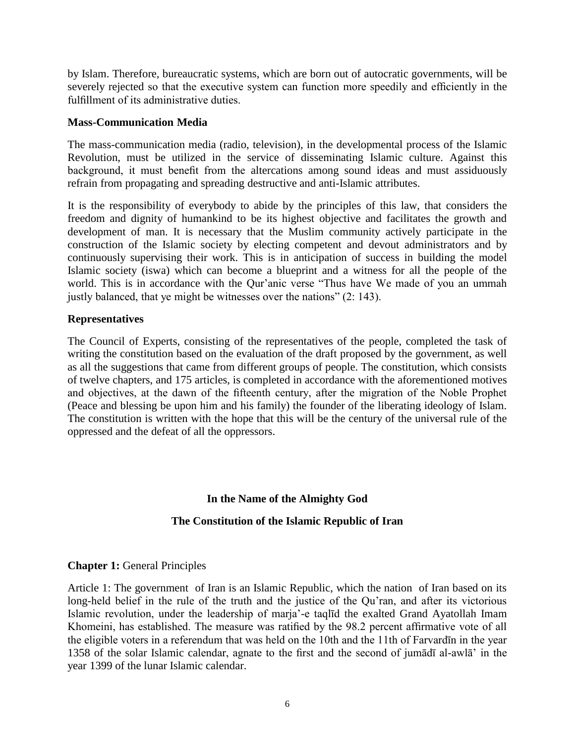by Islam. Therefore, bureaucratic systems, which are born out of autocratic governments, will be severely rejected so that the executive system can function more speedily and efficiently in the fulfillment of its administrative duties.

#### **Mass-Communication Media**

The mass-communication media (radio, television), in the developmental process of the Islamic Revolution, must be utilized in the service of disseminating Islamic culture. Against this background, it must benefit from the altercations among sound ideas and must assiduously refrain from propagating and spreading destructive and anti-Islamic attributes.

It is the responsibility of everybody to abide by the principles of this law, that considers the freedom and dignity of humankind to be its highest objective and facilitates the growth and development of man. It is necessary that the Muslim community actively participate in the construction of the Islamic society by electing competent and devout administrators and by continuously supervising their work. This is in anticipation of success in building the model Islamic society (iswa) which can become a blueprint and a witness for all the people of the world. This is in accordance with the Qur'anic verse "Thus have We made of you an ummah justly balanced, that ye might be witnesses over the nations" (2: 143).

#### **Representatives**

The Council of Experts, consisting of the representatives of the people, completed the task of writing the constitution based on the evaluation of the draft proposed by the government, as well as all the suggestions that came from different groups of people. The constitution, which consists of twelve chapters, and 175 articles, is completed in accordance with the aforementioned motives and objectives, at the dawn of the fifteenth century, after the migration of the Noble Prophet (Peace and blessing be upon him and his family) the founder of the liberating ideology of Islam. The constitution is written with the hope that this will be the century of the universal rule of the oppressed and the defeat of all the oppressors.

# **In the Name of the Almighty God**

# **The Constitution of the Islamic Republic of Iran**

# **Chapter 1:** General Principles

Article 1: The government of Iran is an Islamic Republic, which the nation of Iran based on its long-held belief in the rule of the truth and the justice of the Qu'ran, and after its victorious Islamic revolution, under the leadership of marja'-e taqlīd the exalted Grand Ayatollah Imam Khomeini, has established. The measure was ratified by the 98.2 percent affirmative vote of all the eligible voters in a referendum that was held on the 10th and the 11th of Farvardīn in the year 1358 of the solar Islamic calendar, agnate to the first and the second of jumādī al-awlā' in the year 1399 of the lunar Islamic calendar.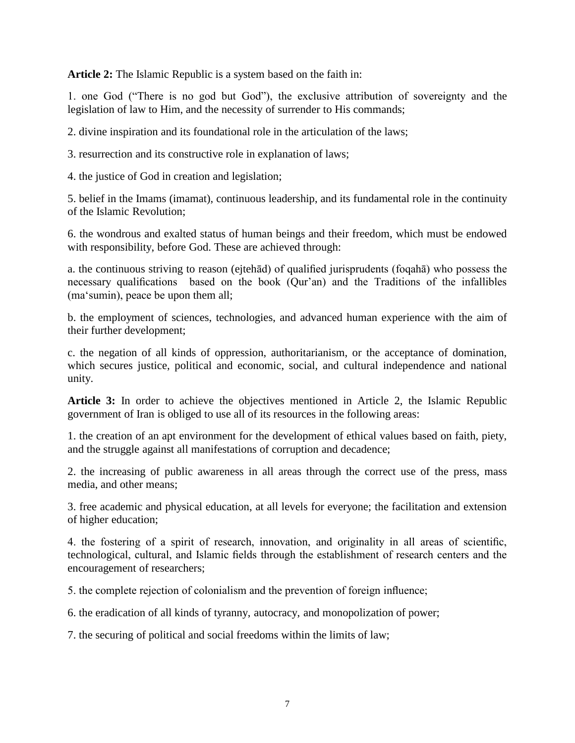**Article 2:** The Islamic Republic is a system based on the faith in:

1. one God ("There is no god but God"), the exclusive attribution of sovereignty and the legislation of law to Him, and the necessity of surrender to His commands;

2. divine inspiration and its foundational role in the articulation of the laws;

3. resurrection and its constructive role in explanation of laws;

4. the justice of God in creation and legislation;

5. belief in the Imams (imamat), continuous leadership, and its fundamental role in the continuity of the Islamic Revolution;

6. the wondrous and exalted status of human beings and their freedom, which must be endowed with responsibility, before God. These are achieved through:

a. the continuous striving to reason (ejtehād) of qualified jurisprudents (foqahā) who possess the necessary qualifications based on the book (Qur'an) and the Traditions of the infallibles (ma'sumin), peace be upon them all;

b. the employment of sciences, technologies, and advanced human experience with the aim of their further development;

c. the negation of all kinds of oppression, authoritarianism, or the acceptance of domination, which secures justice, political and economic, social, and cultural independence and national unity.

**Article 3:** In order to achieve the objectives mentioned in Article 2, the Islamic Republic government of Iran is obliged to use all of its resources in the following areas:

1. the creation of an apt environment for the development of ethical values based on faith, piety, and the struggle against all manifestations of corruption and decadence;

2. the increasing of public awareness in all areas through the correct use of the press, mass media, and other means;

3. free academic and physical education, at all levels for everyone; the facilitation and extension of higher education;

4. the fostering of a spirit of research, innovation, and originality in all areas of scientific, technological, cultural, and Islamic fields through the establishment of research centers and the encouragement of researchers;

5. the complete rejection of colonialism and the prevention of foreign influence;

6. the eradication of all kinds of tyranny, autocracy, and monopolization of power;

7. the securing of political and social freedoms within the limits of law;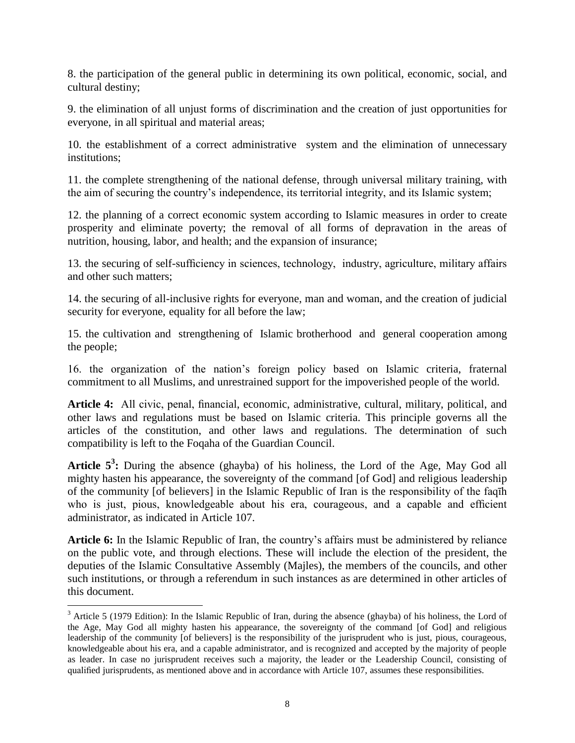8. the participation of the general public in determining its own political, economic, social, and cultural destiny;

9. the elimination of all unjust forms of discrimination and the creation of just opportunities for everyone, in all spiritual and material areas;

10. the establishment of a correct administrative system and the elimination of unnecessary institutions;

11. the complete strengthening of the national defense, through universal military training, with the aim of securing the country's independence, its territorial integrity, and its Islamic system;

12. the planning of a correct economic system according to Islamic measures in order to create prosperity and eliminate poverty; the removal of all forms of depravation in the areas of nutrition, housing, labor, and health; and the expansion of insurance;

13. the securing of self-sufficiency in sciences, technology, industry, agriculture, military affairs and other such matters;

14. the securing of all-inclusive rights for everyone, man and woman, and the creation of judicial security for everyone, equality for all before the law;

15. the cultivation and strengthening of Islamic brotherhood and general cooperation among the people;

16. the organization of the nation's foreign policy based on Islamic criteria, fraternal commitment to all Muslims, and unrestrained support for the impoverished people of the world.

**Article 4:** All civic, penal, financial, economic, administrative, cultural, military, political, and other laws and regulations must be based on Islamic criteria. This principle governs all the articles of the constitution, and other laws and regulations. The determination of such compatibility is left to the Foqaha of the Guardian Council.

**Article 5<sup>3</sup> :** During the absence (ghayba) of his holiness, the Lord of the Age, May God all mighty hasten his appearance, the sovereignty of the command [of God] and religious leadership of the community [of believers] in the Islamic Republic of Iran is the responsibility of the faqīh who is just, pious, knowledgeable about his era, courageous, and a capable and efficient administrator, as indicated in Article 107.

**Article 6:** In the Islamic Republic of Iran, the country's affairs must be administered by reliance on the public vote, and through elections. These will include the election of the president, the deputies of the Islamic Consultative Assembly (Majles), the members of the councils, and other such institutions, or through a referendum in such instances as are determined in other articles of this document.

l

 $3$  Article 5 (1979 Edition): In the Islamic Republic of Iran, during the absence (ghayba) of his holiness, the Lord of the Age, May God all mighty hasten his appearance, the sovereignty of the command [of God] and religious leadership of the community [of believers] is the responsibility of the jurisprudent who is just, pious, courageous, knowledgeable about his era, and a capable administrator, and is recognized and accepted by the majority of people as leader. In case no jurisprudent receives such a majority, the leader or the Leadership Council, consisting of qualified jurisprudents, as mentioned above and in accordance with Article 107, assumes these responsibilities.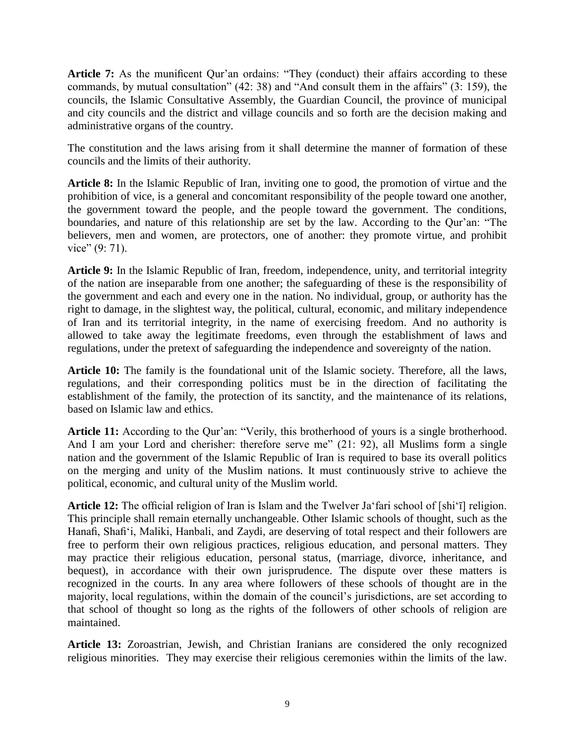Article 7: As the munificent Qur'an ordains: "They (conduct) their affairs according to these commands, by mutual consultation" (42: 38) and "And consult them in the affairs" (3: 159), the councils, the Islamic Consultative Assembly, the Guardian Council, the province of municipal and city councils and the district and village councils and so forth are the decision making and administrative organs of the country.

The constitution and the laws arising from it shall determine the manner of formation of these councils and the limits of their authority.

**Article 8:** In the Islamic Republic of Iran, inviting one to good, the promotion of virtue and the prohibition of vice, is a general and concomitant responsibility of the people toward one another, the government toward the people, and the people toward the government. The conditions, boundaries, and nature of this relationship are set by the law. According to the Qur'an: "The believers, men and women, are protectors, one of another: they promote virtue, and prohibit vice" (9: 71).

**Article 9:** In the Islamic Republic of Iran, freedom, independence, unity, and territorial integrity of the nation are inseparable from one another; the safeguarding of these is the responsibility of the government and each and every one in the nation. No individual, group, or authority has the right to damage, in the slightest way, the political, cultural, economic, and military independence of Iran and its territorial integrity, in the name of exercising freedom. And no authority is allowed to take away the legitimate freedoms, even through the establishment of laws and regulations, under the pretext of safeguarding the independence and sovereignty of the nation.

**Article 10:** The family is the foundational unit of the Islamic society. Therefore, all the laws, regulations, and their corresponding politics must be in the direction of facilitating the establishment of the family, the protection of its sanctity, and the maintenance of its relations, based on Islamic law and ethics.

**Article 11:** According to the Qur'an: "Verily, this brotherhood of yours is a single brotherhood. And I am your Lord and cherisher: therefore serve me" (21: 92), all Muslims form a single nation and the government of the Islamic Republic of Iran is required to base its overall politics on the merging and unity of the Muslim nations. It must continuously strive to achieve the political, economic, and cultural unity of the Muslim world.

**Article 12:** The official religion of Iran is Islam and the Twelver Ja'fari school of [shi'ī] religion. This principle shall remain eternally unchangeable. Other Islamic schools of thought, such as the Hanafi, Shafi'i, Maliki, Hanbali, and Zaydi, are deserving of total respect and their followers are free to perform their own religious practices, religious education, and personal matters. They may practice their religious education, personal status, (marriage, divorce, inheritance, and bequest), in accordance with their own jurisprudence. The dispute over these matters is recognized in the courts. In any area where followers of these schools of thought are in the majority, local regulations, within the domain of the council's jurisdictions, are set according to that school of thought so long as the rights of the followers of other schools of religion are maintained.

**Article 13:** Zoroastrian, Jewish, and Christian Iranians are considered the only recognized religious minorities. They may exercise their religious ceremonies within the limits of the law.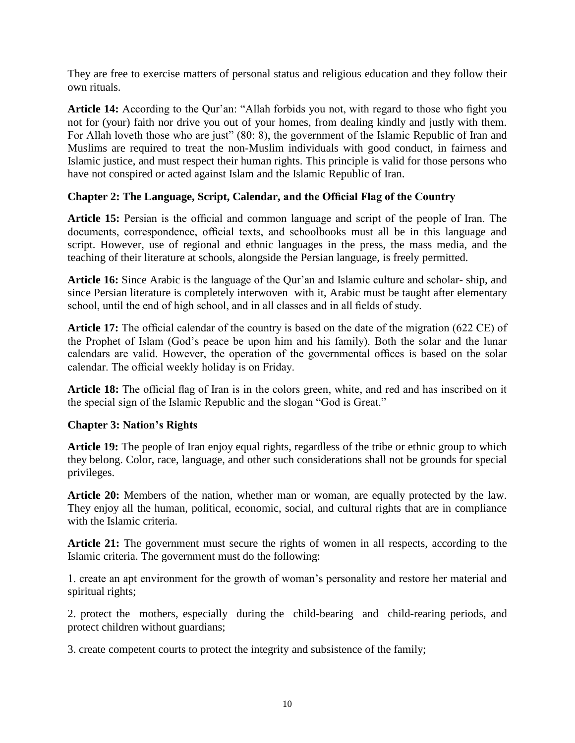They are free to exercise matters of personal status and religious education and they follow their own rituals.

**Article 14:** According to the Qur'an: "Allah forbids you not, with regard to those who fight you not for (your) faith nor drive you out of your homes, from dealing kindly and justly with them. For Allah loveth those who are just" (80: 8), the government of the Islamic Republic of Iran and Muslims are required to treat the non-Muslim individuals with good conduct, in fairness and Islamic justice, and must respect their human rights. This principle is valid for those persons who have not conspired or acted against Islam and the Islamic Republic of Iran.

# **Chapter 2: The Language, Script, Calendar, and the Official Flag of the Country**

**Article 15:** Persian is the official and common language and script of the people of Iran. The documents, correspondence, official texts, and schoolbooks must all be in this language and script. However, use of regional and ethnic languages in the press, the mass media, and the teaching of their literature at schools, alongside the Persian language, is freely permitted.

**Article 16:** Since Arabic is the language of the Qur'an and Islamic culture and scholar- ship, and since Persian literature is completely interwoven with it, Arabic must be taught after elementary school, until the end of high school, and in all classes and in all fields of study.

**Article 17:** The official calendar of the country is based on the date of the migration (622 CE) of the Prophet of Islam (God's peace be upon him and his family). Both the solar and the lunar calendars are valid. However, the operation of the governmental offices is based on the solar calendar. The official weekly holiday is on Friday.

**Article 18:** The official flag of Iran is in the colors green, white, and red and has inscribed on it the special sign of the Islamic Republic and the slogan "God is Great."

# **Chapter 3: Nation's Rights**

**Article 19:** The people of Iran enjoy equal rights, regardless of the tribe or ethnic group to which they belong. Color, race, language, and other such considerations shall not be grounds for special privileges.

**Article 20:** Members of the nation, whether man or woman, are equally protected by the law. They enjoy all the human, political, economic, social, and cultural rights that are in compliance with the Islamic criteria.

**Article 21:** The government must secure the rights of women in all respects, according to the Islamic criteria. The government must do the following:

1. create an apt environment for the growth of woman's personality and restore her material and spiritual rights;

2. protect the mothers, especially during the child-bearing and child-rearing periods, and protect children without guardians;

3. create competent courts to protect the integrity and subsistence of the family;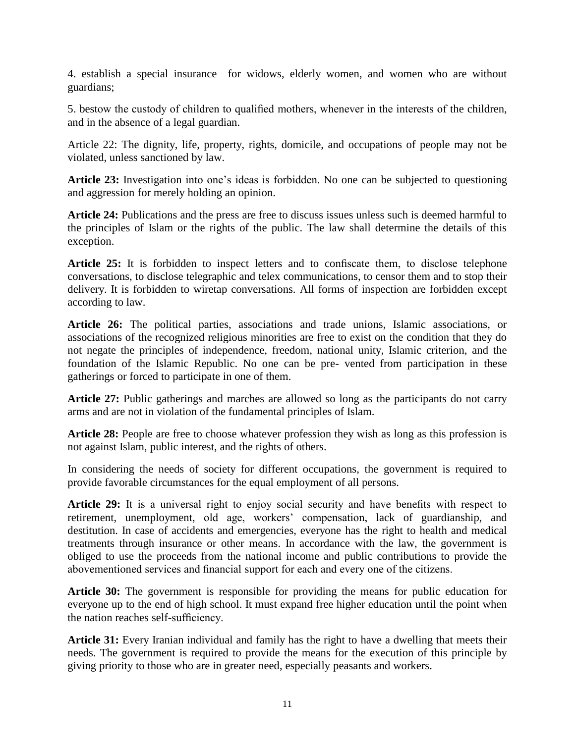4. establish a special insurance for widows, elderly women, and women who are without guardians;

5. bestow the custody of children to qualified mothers, whenever in the interests of the children, and in the absence of a legal guardian.

Article 22: The dignity, life, property, rights, domicile, and occupations of people may not be violated, unless sanctioned by law.

**Article 23:** Investigation into one's ideas is forbidden. No one can be subjected to questioning and aggression for merely holding an opinion.

**Article 24:** Publications and the press are free to discuss issues unless such is deemed harmful to the principles of Islam or the rights of the public. The law shall determine the details of this exception.

**Article 25:** It is forbidden to inspect letters and to confiscate them, to disclose telephone conversations, to disclose telegraphic and telex communications, to censor them and to stop their delivery. It is forbidden to wiretap conversations. All forms of inspection are forbidden except according to law.

**Article 26:** The political parties, associations and trade unions, Islamic associations, or associations of the recognized religious minorities are free to exist on the condition that they do not negate the principles of independence, freedom, national unity, Islamic criterion, and the foundation of the Islamic Republic. No one can be pre- vented from participation in these gatherings or forced to participate in one of them.

**Article 27:** Public gatherings and marches are allowed so long as the participants do not carry arms and are not in violation of the fundamental principles of Islam.

**Article 28:** People are free to choose whatever profession they wish as long as this profession is not against Islam, public interest, and the rights of others.

In considering the needs of society for different occupations, the government is required to provide favorable circumstances for the equal employment of all persons.

**Article 29:** It is a universal right to enjoy social security and have benefits with respect to retirement, unemployment, old age, workers' compensation, lack of guardianship, and destitution. In case of accidents and emergencies, everyone has the right to health and medical treatments through insurance or other means. In accordance with the law, the government is obliged to use the proceeds from the national income and public contributions to provide the abovementioned services and financial support for each and every one of the citizens.

**Article 30:** The government is responsible for providing the means for public education for everyone up to the end of high school. It must expand free higher education until the point when the nation reaches self-sufficiency.

**Article 31:** Every Iranian individual and family has the right to have a dwelling that meets their needs. The government is required to provide the means for the execution of this principle by giving priority to those who are in greater need, especially peasants and workers.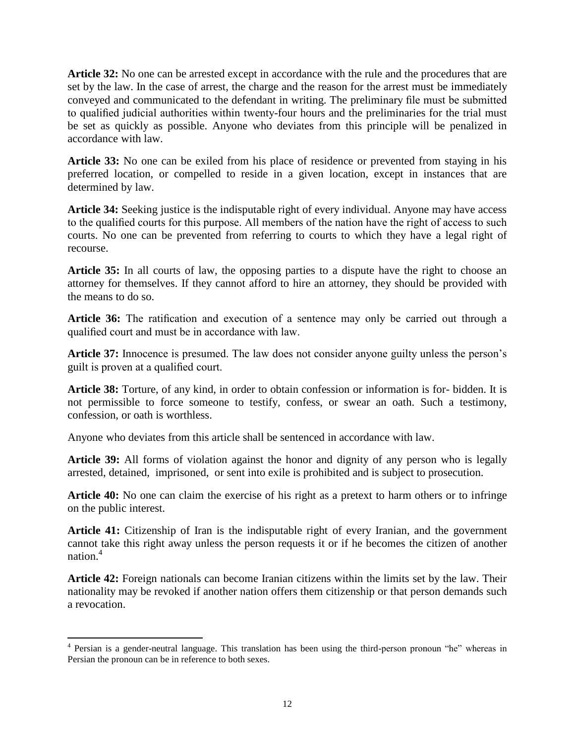**Article 32:** No one can be arrested except in accordance with the rule and the procedures that are set by the law. In the case of arrest, the charge and the reason for the arrest must be immediately conveyed and communicated to the defendant in writing. The preliminary file must be submitted to qualified judicial authorities within twenty-four hours and the preliminaries for the trial must be set as quickly as possible. Anyone who deviates from this principle will be penalized in accordance with law.

**Article 33:** No one can be exiled from his place of residence or prevented from staying in his preferred location, or compelled to reside in a given location, except in instances that are determined by law.

**Article 34:** Seeking justice is the indisputable right of every individual. Anyone may have access to the qualified courts for this purpose. All members of the nation have the right of access to such courts. No one can be prevented from referring to courts to which they have a legal right of recourse.

**Article 35:** In all courts of law, the opposing parties to a dispute have the right to choose an attorney for themselves. If they cannot afford to hire an attorney, they should be provided with the means to do so.

**Article 36:** The ratification and execution of a sentence may only be carried out through a qualified court and must be in accordance with law.

**Article 37:** Innocence is presumed. The law does not consider anyone guilty unless the person's guilt is proven at a qualified court.

**Article 38:** Torture, of any kind, in order to obtain confession or information is for- bidden. It is not permissible to force someone to testify, confess, or swear an oath. Such a testimony, confession, or oath is worthless.

Anyone who deviates from this article shall be sentenced in accordance with law.

**Article 39:** All forms of violation against the honor and dignity of any person who is legally arrested, detained, imprisoned, or sent into exile is prohibited and is subject to prosecution.

**Article 40:** No one can claim the exercise of his right as a pretext to harm others or to infringe on the public interest.

**Article 41:** Citizenship of Iran is the indisputable right of every Iranian, and the government cannot take this right away unless the person requests it or if he becomes the citizen of another nation.<sup>4</sup>

**Article 42:** Foreign nationals can become Iranian citizens within the limits set by the law. Their nationality may be revoked if another nation offers them citizenship or that person demands such a revocation.

 $\overline{\phantom{a}}$ <sup>4</sup> Persian is a gender-neutral language. This translation has been using the third-person pronoun "he" whereas in Persian the pronoun can be in reference to both sexes.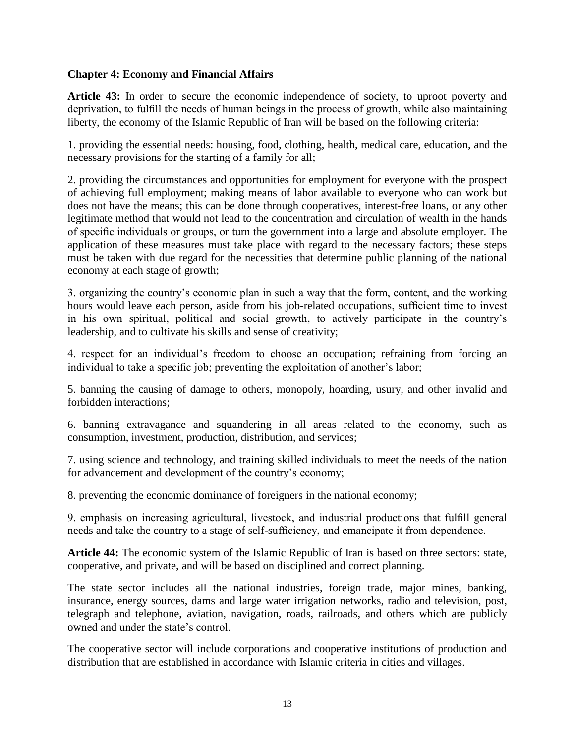#### **Chapter 4: Economy and Financial Affairs**

**Article 43:** In order to secure the economic independence of society, to uproot poverty and deprivation, to fulfill the needs of human beings in the process of growth, while also maintaining liberty, the economy of the Islamic Republic of Iran will be based on the following criteria:

1. providing the essential needs: housing, food, clothing, health, medical care, education, and the necessary provisions for the starting of a family for all;

2. providing the circumstances and opportunities for employment for everyone with the prospect of achieving full employment; making means of labor available to everyone who can work but does not have the means; this can be done through cooperatives, interest-free loans, or any other legitimate method that would not lead to the concentration and circulation of wealth in the hands of specific individuals or groups, or turn the government into a large and absolute employer. The application of these measures must take place with regard to the necessary factors; these steps must be taken with due regard for the necessities that determine public planning of the national economy at each stage of growth;

3. organizing the country's economic plan in such a way that the form, content, and the working hours would leave each person, aside from his job-related occupations, sufficient time to invest in his own spiritual, political and social growth, to actively participate in the country's leadership, and to cultivate his skills and sense of creativity;

4. respect for an individual's freedom to choose an occupation; refraining from forcing an individual to take a specific job; preventing the exploitation of another's labor;

5. banning the causing of damage to others, monopoly, hoarding, usury, and other invalid and forbidden interactions;

6. banning extravagance and squandering in all areas related to the economy, such as consumption, investment, production, distribution, and services;

7. using science and technology, and training skilled individuals to meet the needs of the nation for advancement and development of the country's economy;

8. preventing the economic dominance of foreigners in the national economy;

9. emphasis on increasing agricultural, livestock, and industrial productions that fulfill general needs and take the country to a stage of self-sufficiency, and emancipate it from dependence.

**Article 44:** The economic system of the Islamic Republic of Iran is based on three sectors: state, cooperative, and private, and will be based on disciplined and correct planning.

The state sector includes all the national industries, foreign trade, major mines, banking, insurance, energy sources, dams and large water irrigation networks, radio and television, post, telegraph and telephone, aviation, navigation, roads, railroads, and others which are publicly owned and under the state's control.

The cooperative sector will include corporations and cooperative institutions of production and distribution that are established in accordance with Islamic criteria in cities and villages.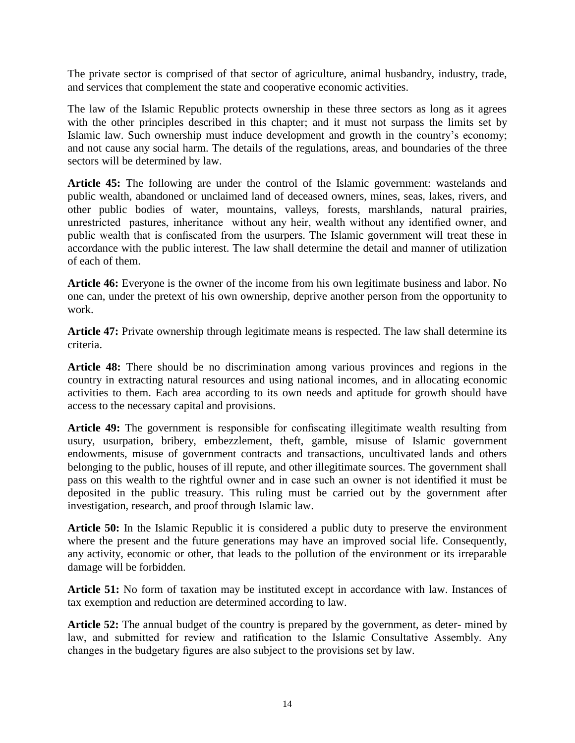The private sector is comprised of that sector of agriculture, animal husbandry, industry, trade, and services that complement the state and cooperative economic activities.

The law of the Islamic Republic protects ownership in these three sectors as long as it agrees with the other principles described in this chapter; and it must not surpass the limits set by Islamic law. Such ownership must induce development and growth in the country's economy; and not cause any social harm. The details of the regulations, areas, and boundaries of the three sectors will be determined by law.

**Article 45:** The following are under the control of the Islamic government: wastelands and public wealth, abandoned or unclaimed land of deceased owners, mines, seas, lakes, rivers, and other public bodies of water, mountains, valleys, forests, marshlands, natural prairies, unrestricted pastures, inheritance without any heir, wealth without any identified owner, and public wealth that is confiscated from the usurpers. The Islamic government will treat these in accordance with the public interest. The law shall determine the detail and manner of utilization of each of them.

**Article 46:** Everyone is the owner of the income from his own legitimate business and labor. No one can, under the pretext of his own ownership, deprive another person from the opportunity to work.

**Article 47:** Private ownership through legitimate means is respected. The law shall determine its criteria.

**Article 48:** There should be no discrimination among various provinces and regions in the country in extracting natural resources and using national incomes, and in allocating economic activities to them. Each area according to its own needs and aptitude for growth should have access to the necessary capital and provisions.

**Article 49:** The government is responsible for confiscating illegitimate wealth resulting from usury, usurpation, bribery, embezzlement, theft, gamble, misuse of Islamic government endowments, misuse of government contracts and transactions, uncultivated lands and others belonging to the public, houses of ill repute, and other illegitimate sources. The government shall pass on this wealth to the rightful owner and in case such an owner is not identified it must be deposited in the public treasury. This ruling must be carried out by the government after investigation, research, and proof through Islamic law.

**Article 50:** In the Islamic Republic it is considered a public duty to preserve the environment where the present and the future generations may have an improved social life. Consequently, any activity, economic or other, that leads to the pollution of the environment or its irreparable damage will be forbidden.

**Article 51:** No form of taxation may be instituted except in accordance with law. Instances of tax exemption and reduction are determined according to law.

**Article 52:** The annual budget of the country is prepared by the government, as deter- mined by law, and submitted for review and ratification to the Islamic Consultative Assembly. Any changes in the budgetary figures are also subject to the provisions set by law.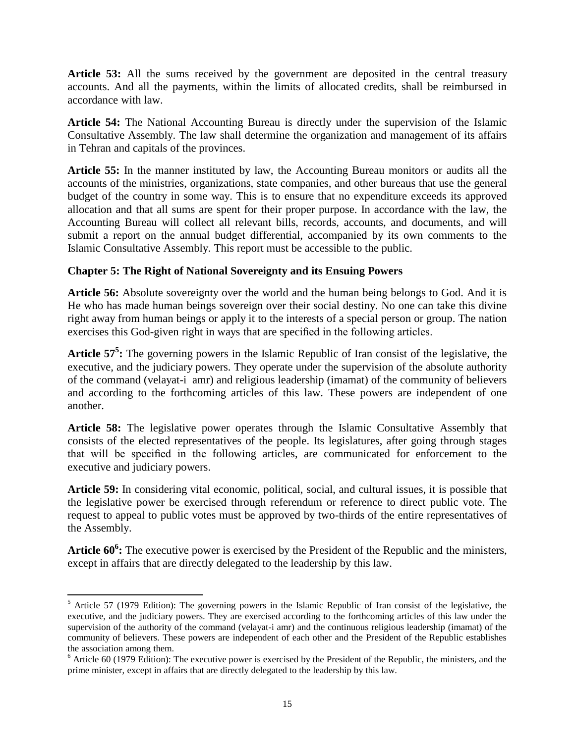**Article 53:** All the sums received by the government are deposited in the central treasury accounts. And all the payments, within the limits of allocated credits, shall be reimbursed in accordance with law.

**Article 54:** The National Accounting Bureau is directly under the supervision of the Islamic Consultative Assembly. The law shall determine the organization and management of its affairs in Tehran and capitals of the provinces.

**Article 55:** In the manner instituted by law, the Accounting Bureau monitors or audits all the accounts of the ministries, organizations, state companies, and other bureaus that use the general budget of the country in some way. This is to ensure that no expenditure exceeds its approved allocation and that all sums are spent for their proper purpose. In accordance with the law, the Accounting Bureau will collect all relevant bills, records, accounts, and documents, and will submit a report on the annual budget differential, accompanied by its own comments to the Islamic Consultative Assembly. This report must be accessible to the public.

# **Chapter 5: The Right of National Sovereignty and its Ensuing Powers**

**Article 56:** Absolute sovereignty over the world and the human being belongs to God. And it is He who has made human beings sovereign over their social destiny. No one can take this divine right away from human beings or apply it to the interests of a special person or group. The nation exercises this God-given right in ways that are specified in the following articles.

**Article 57<sup>5</sup> :** The governing powers in the Islamic Republic of Iran consist of the legislative, the executive, and the judiciary powers. They operate under the supervision of the absolute authority of the command (velayat-i amr) and religious leadership (imamat) of the community of believers and according to the forthcoming articles of this law. These powers are independent of one another.

**Article 58:** The legislative power operates through the Islamic Consultative Assembly that consists of the elected representatives of the people. Its legislatures, after going through stages that will be specified in the following articles, are communicated for enforcement to the executive and judiciary powers.

**Article 59:** In considering vital economic, political, social, and cultural issues, it is possible that the legislative power be exercised through referendum or reference to direct public vote. The request to appeal to public votes must be approved by two-thirds of the entire representatives of the Assembly.

Article 60<sup>6</sup>: The executive power is exercised by the President of the Republic and the ministers, except in affairs that are directly delegated to the leadership by this law.

 $\overline{\phantom{a}}$ 

<sup>&</sup>lt;sup>5</sup> Article 57 (1979 Edition): The governing powers in the Islamic Republic of Iran consist of the legislative, the executive, and the judiciary powers. They are exercised according to the forthcoming articles of this law under the supervision of the authority of the command (velayat-i amr) and the continuous religious leadership (imamat) of the community of believers. These powers are independent of each other and the President of the Republic establishes the association among them.

 $6$  Article 60 (1979 Edition): The executive power is exercised by the President of the Republic, the ministers, and the prime minister, except in affairs that are directly delegated to the leadership by this law.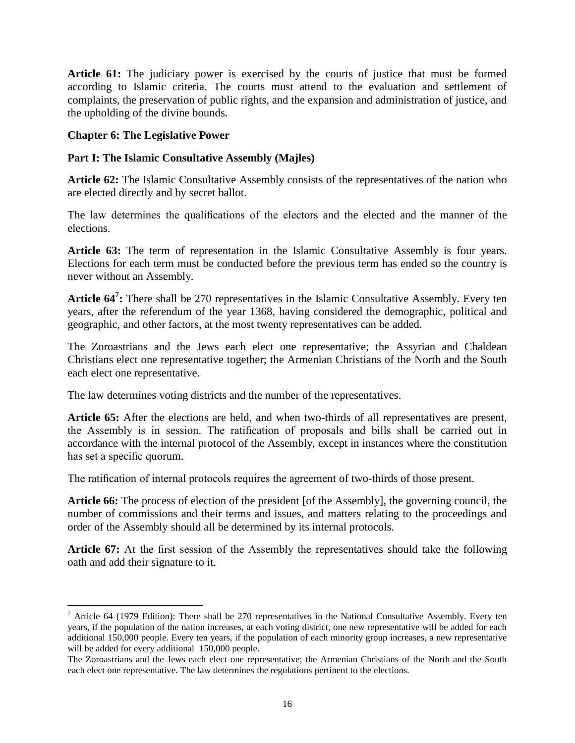**Article 61:** The judiciary power is exercised by the courts of justice that must be formed according to Islamic criteria. The courts must attend to the evaluation and settlement of complaints, the preservation of public rights, and the expansion and administration of justice, and the upholding of the divine bounds.

#### **Chapter 6: The Legislative Power**

l

#### **Part I: The Islamic Consultative Assembly (Majles)**

**Article 62:** The Islamic Consultative Assembly consists of the representatives of the nation who are elected directly and by secret ballot.

The law determines the qualifications of the electors and the elected and the manner of the elections.

**Article 63:** The term of representation in the Islamic Consultative Assembly is four years. Elections for each term must be conducted before the previous term has ended so the country is never without an Assembly.

**Article 64<sup>7</sup> :** There shall be 270 representatives in the Islamic Consultative Assembly. Every ten years, after the referendum of the year 1368, having considered the demographic, political and geographic, and other factors, at the most twenty representatives can be added.

The Zoroastrians and the Jews each elect one representative; the Assyrian and Chaldean Christians elect one representative together; the Armenian Christians of the North and the South each elect one representative.

The law determines voting districts and the number of the representatives.

**Article 65:** After the elections are held, and when two-thirds of all representatives are present, the Assembly is in session. The ratification of proposals and bills shall be carried out in accordance with the internal protocol of the Assembly, except in instances where the constitution has set a specific quorum.

The ratification of internal protocols requires the agreement of two-thirds of those present.

**Article 66:** The process of election of the president [of the Assembly], the governing council, the number of commissions and their terms and issues, and matters relating to the proceedings and order of the Assembly should all be determined by its internal protocols.

**Article 67:** At the first session of the Assembly the representatives should take the following oath and add their signature to it.

 $^7$  Article 64 (1979 Edition): There shall be 270 representatives in the National Consultative Assembly. Every ten years, if the population of the nation increases, at each voting district, one new representative will be added for each additional 150,000 people. Every ten years, if the population of each minority group increases, a new representative will be added for every additional 150,000 people.

The Zoroastrians and the Jews each elect one representative; the Armenian Christians of the North and the South each elect one representative. The law determines the regulations pertinent to the elections.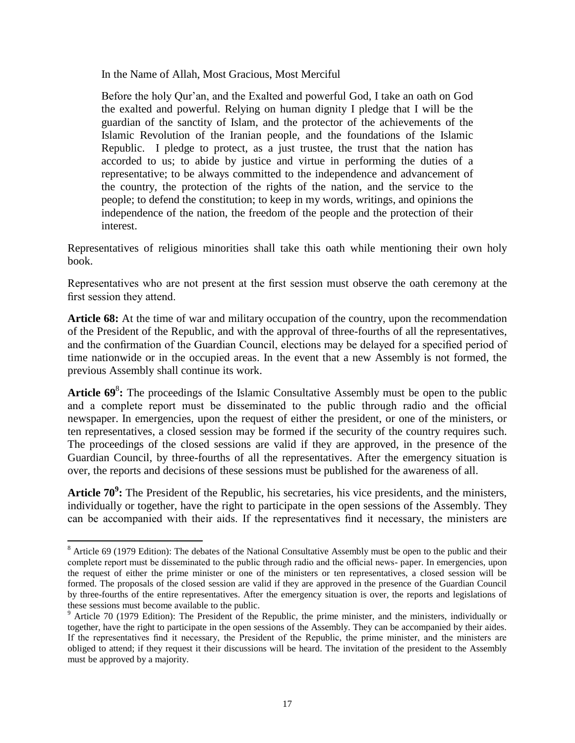In the Name of Allah, Most Gracious, Most Merciful

Before the holy Qur'an, and the Exalted and powerful God, I take an oath on God the exalted and powerful. Relying on human dignity I pledge that I will be the guardian of the sanctity of Islam, and the protector of the achievements of the Islamic Revolution of the Iranian people, and the foundations of the Islamic Republic. I pledge to protect, as a just trustee, the trust that the nation has accorded to us; to abide by justice and virtue in performing the duties of a representative; to be always committed to the independence and advancement of the country, the protection of the rights of the nation, and the service to the people; to defend the constitution; to keep in my words, writings, and opinions the independence of the nation, the freedom of the people and the protection of their interest.

Representatives of religious minorities shall take this oath while mentioning their own holy book.

Representatives who are not present at the first session must observe the oath ceremony at the first session they attend.

**Article 68:** At the time of war and military occupation of the country, upon the recommendation of the President of the Republic, and with the approval of three-fourths of all the representatives, and the confirmation of the Guardian Council, elections may be delayed for a specified period of time nationwide or in the occupied areas. In the event that a new Assembly is not formed, the previous Assembly shall continue its work.

Article 69<sup>8</sup>: The proceedings of the Islamic Consultative Assembly must be open to the public and a complete report must be disseminated to the public through radio and the official newspaper. In emergencies, upon the request of either the president, or one of the ministers, or ten representatives, a closed session may be formed if the security of the country requires such. The proceedings of the closed sessions are valid if they are approved, in the presence of the Guardian Council, by three-fourths of all the representatives. After the emergency situation is over, the reports and decisions of these sessions must be published for the awareness of all.

Article 70<sup>9</sup>: The President of the Republic, his secretaries, his vice presidents, and the ministers, individually or together, have the right to participate in the open sessions of the Assembly. They can be accompanied with their aids. If the representatives find it necessary, the ministers are

l

<sup>&</sup>lt;sup>8</sup> Article 69 (1979 Edition): The debates of the National Consultative Assembly must be open to the public and their complete report must be disseminated to the public through radio and the official news- paper. In emergencies, upon the request of either the prime minister or one of the ministers or ten representatives, a closed session will be formed. The proposals of the closed session are valid if they are approved in the presence of the Guardian Council by three-fourths of the entire representatives. After the emergency situation is over, the reports and legislations of these sessions must become available to the public.

 $9$  Article 70 (1979 Edition): The President of the Republic, the prime minister, and the ministers, individually or together, have the right to participate in the open sessions of the Assembly. They can be accompanied by their aides. If the representatives find it necessary, the President of the Republic, the prime minister, and the ministers are obliged to attend; if they request it their discussions will be heard. The invitation of the president to the Assembly must be approved by a majority.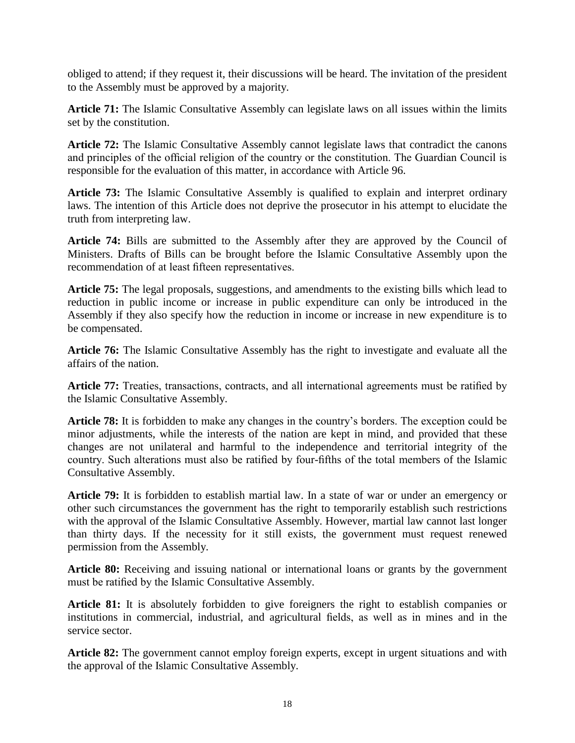obliged to attend; if they request it, their discussions will be heard. The invitation of the president to the Assembly must be approved by a majority.

**Article 71:** The Islamic Consultative Assembly can legislate laws on all issues within the limits set by the constitution.

**Article 72:** The Islamic Consultative Assembly cannot legislate laws that contradict the canons and principles of the official religion of the country or the constitution. The Guardian Council is responsible for the evaluation of this matter, in accordance with Article 96.

**Article 73:** The Islamic Consultative Assembly is qualified to explain and interpret ordinary laws. The intention of this Article does not deprive the prosecutor in his attempt to elucidate the truth from interpreting law.

**Article 74:** Bills are submitted to the Assembly after they are approved by the Council of Ministers. Drafts of Bills can be brought before the Islamic Consultative Assembly upon the recommendation of at least fifteen representatives.

**Article 75:** The legal proposals, suggestions, and amendments to the existing bills which lead to reduction in public income or increase in public expenditure can only be introduced in the Assembly if they also specify how the reduction in income or increase in new expenditure is to be compensated.

**Article 76:** The Islamic Consultative Assembly has the right to investigate and evaluate all the affairs of the nation.

**Article 77:** Treaties, transactions, contracts, and all international agreements must be ratified by the Islamic Consultative Assembly.

**Article 78:** It is forbidden to make any changes in the country's borders. The exception could be minor adjustments, while the interests of the nation are kept in mind, and provided that these changes are not unilateral and harmful to the independence and territorial integrity of the country. Such alterations must also be ratified by four-fifths of the total members of the Islamic Consultative Assembly.

**Article 79:** It is forbidden to establish martial law. In a state of war or under an emergency or other such circumstances the government has the right to temporarily establish such restrictions with the approval of the Islamic Consultative Assembly. However, martial law cannot last longer than thirty days. If the necessity for it still exists, the government must request renewed permission from the Assembly.

**Article 80:** Receiving and issuing national or international loans or grants by the government must be ratified by the Islamic Consultative Assembly.

**Article 81:** It is absolutely forbidden to give foreigners the right to establish companies or institutions in commercial, industrial, and agricultural fields, as well as in mines and in the service sector.

**Article 82:** The government cannot employ foreign experts, except in urgent situations and with the approval of the Islamic Consultative Assembly.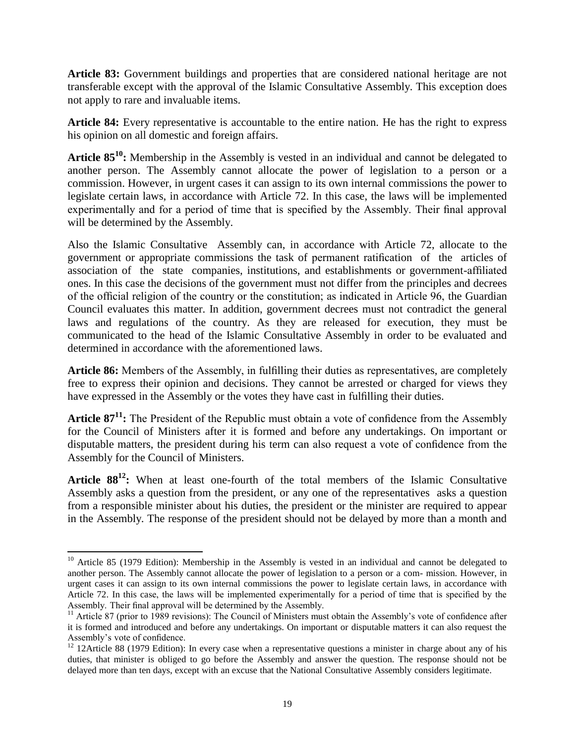**Article 83:** Government buildings and properties that are considered national heritage are not transferable except with the approval of the Islamic Consultative Assembly. This exception does not apply to rare and invaluable items.

**Article 84:** Every representative is accountable to the entire nation. He has the right to express his opinion on all domestic and foreign affairs.

Article 85<sup>10</sup>: Membership in the Assembly is vested in an individual and cannot be delegated to another person. The Assembly cannot allocate the power of legislation to a person or a commission. However, in urgent cases it can assign to its own internal commissions the power to legislate certain laws, in accordance with Article 72. In this case, the laws will be implemented experimentally and for a period of time that is specified by the Assembly. Their final approval will be determined by the Assembly.

Also the Islamic Consultative Assembly can, in accordance with Article 72, allocate to the government or appropriate commissions the task of permanent ratification of the articles of association of the state companies, institutions, and establishments or government-affiliated ones. In this case the decisions of the government must not differ from the principles and decrees of the official religion of the country or the constitution; as indicated in Article 96, the Guardian Council evaluates this matter. In addition, government decrees must not contradict the general laws and regulations of the country. As they are released for execution, they must be communicated to the head of the Islamic Consultative Assembly in order to be evaluated and determined in accordance with the aforementioned laws.

**Article 86:** Members of the Assembly, in fulfilling their duties as representatives, are completely free to express their opinion and decisions. They cannot be arrested or charged for views they have expressed in the Assembly or the votes they have cast in fulfilling their duties.

**Article 87<sup>11</sup>:** The President of the Republic must obtain a vote of confidence from the Assembly for the Council of Ministers after it is formed and before any undertakings. On important or disputable matters, the president during his term can also request a vote of confidence from the Assembly for the Council of Ministers.

**Article 88<sup>12</sup>:** When at least one-fourth of the total members of the Islamic Consultative Assembly asks a question from the president, or any one of the representatives asks a question from a responsible minister about his duties, the president or the minister are required to appear in the Assembly. The response of the president should not be delayed by more than a month and

 $\overline{a}$ 

<sup>&</sup>lt;sup>10</sup> Article 85 (1979 Edition): Membership in the Assembly is vested in an individual and cannot be delegated to another person. The Assembly cannot allocate the power of legislation to a person or a com- mission. However, in urgent cases it can assign to its own internal commissions the power to legislate certain laws, in accordance with Article 72. In this case, the laws will be implemented experimentally for a period of time that is specified by the Assembly. Their final approval will be determined by the Assembly.

 $11$  Article 87 (prior to 1989 revisions): The Council of Ministers must obtain the Assembly's vote of confidence after it is formed and introduced and before any undertakings. On important or disputable matters it can also request the Assembly's vote of confidence.

 $12$  12Article 88 (1979 Edition): In every case when a representative questions a minister in charge about any of his duties, that minister is obliged to go before the Assembly and answer the question. The response should not be delayed more than ten days, except with an excuse that the National Consultative Assembly considers legitimate.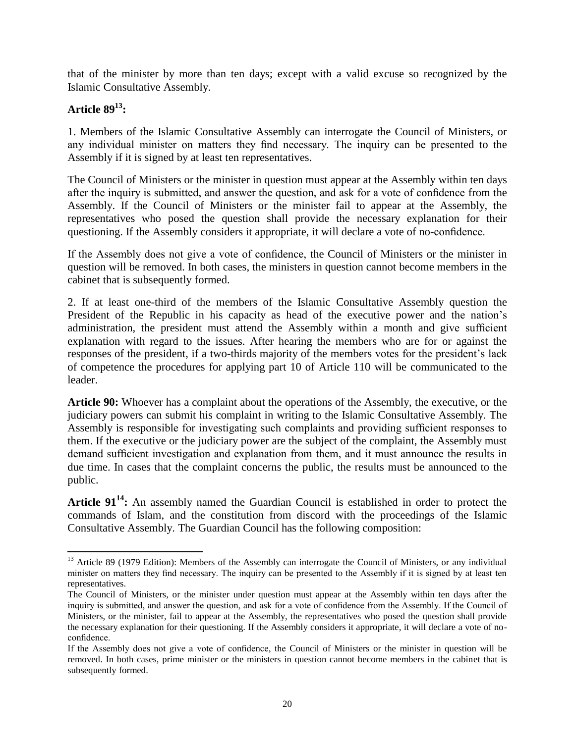that of the minister by more than ten days; except with a valid excuse so recognized by the Islamic Consultative Assembly.

# **Article 89<sup>13</sup>:**

1. Members of the Islamic Consultative Assembly can interrogate the Council of Ministers, or any individual minister on matters they find necessary. The inquiry can be presented to the Assembly if it is signed by at least ten representatives.

The Council of Ministers or the minister in question must appear at the Assembly within ten days after the inquiry is submitted, and answer the question, and ask for a vote of confidence from the Assembly. If the Council of Ministers or the minister fail to appear at the Assembly, the representatives who posed the question shall provide the necessary explanation for their questioning. If the Assembly considers it appropriate, it will declare a vote of no-confidence.

If the Assembly does not give a vote of confidence, the Council of Ministers or the minister in question will be removed. In both cases, the ministers in question cannot become members in the cabinet that is subsequently formed.

2. If at least one-third of the members of the Islamic Consultative Assembly question the President of the Republic in his capacity as head of the executive power and the nation's administration, the president must attend the Assembly within a month and give sufficient explanation with regard to the issues. After hearing the members who are for or against the responses of the president, if a two-thirds majority of the members votes for the president's lack of competence the procedures for applying part 10 of Article 110 will be communicated to the leader.

**Article 90:** Whoever has a complaint about the operations of the Assembly, the executive, or the judiciary powers can submit his complaint in writing to the Islamic Consultative Assembly. The Assembly is responsible for investigating such complaints and providing sufficient responses to them. If the executive or the judiciary power are the subject of the complaint, the Assembly must demand sufficient investigation and explanation from them, and it must announce the results in due time. In cases that the complaint concerns the public, the results must be announced to the public.

**Article 91<sup>14</sup>:** An assembly named the Guardian Council is established in order to protect the commands of Islam, and the constitution from discord with the proceedings of the Islamic Consultative Assembly. The Guardian Council has the following composition:

 $\overline{a}$  $13$  Article 89 (1979 Edition): Members of the Assembly can interrogate the Council of Ministers, or any individual minister on matters they find necessary. The inquiry can be presented to the Assembly if it is signed by at least ten representatives.

The Council of Ministers, or the minister under question must appear at the Assembly within ten days after the inquiry is submitted, and answer the question, and ask for a vote of confidence from the Assembly. If the Council of Ministers, or the minister, fail to appear at the Assembly, the representatives who posed the question shall provide the necessary explanation for their questioning. If the Assembly considers it appropriate, it will declare a vote of noconfidence.

If the Assembly does not give a vote of confidence, the Council of Ministers or the minister in question will be removed. In both cases, prime minister or the ministers in question cannot become members in the cabinet that is subsequently formed.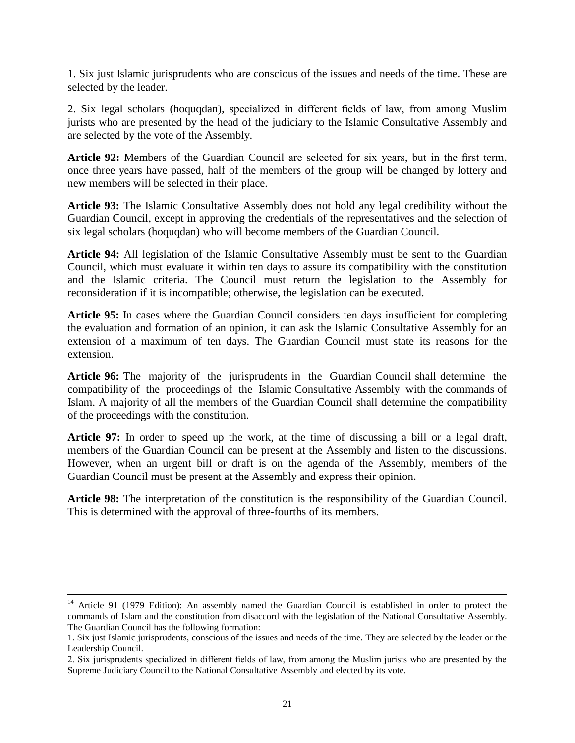1. Six just Islamic jurisprudents who are conscious of the issues and needs of the time. These are selected by the leader.

2. Six legal scholars (hoquqdan), specialized in different fields of law, from among Muslim jurists who are presented by the head of the judiciary to the Islamic Consultative Assembly and are selected by the vote of the Assembly.

**Article 92:** Members of the Guardian Council are selected for six years, but in the first term, once three years have passed, half of the members of the group will be changed by lottery and new members will be selected in their place.

**Article 93:** The Islamic Consultative Assembly does not hold any legal credibility without the Guardian Council, except in approving the credentials of the representatives and the selection of six legal scholars (hoquqdan) who will become members of the Guardian Council.

**Article 94:** All legislation of the Islamic Consultative Assembly must be sent to the Guardian Council, which must evaluate it within ten days to assure its compatibility with the constitution and the Islamic criteria. The Council must return the legislation to the Assembly for reconsideration if it is incompatible; otherwise, the legislation can be executed.

**Article 95:** In cases where the Guardian Council considers ten days insufficient for completing the evaluation and formation of an opinion, it can ask the Islamic Consultative Assembly for an extension of a maximum of ten days. The Guardian Council must state its reasons for the extension.

**Article 96:** The majority of the jurisprudents in the Guardian Council shall determine the compatibility of the proceedings of the Islamic Consultative Assembly with the commands of Islam. A majority of all the members of the Guardian Council shall determine the compatibility of the proceedings with the constitution.

**Article 97:** In order to speed up the work, at the time of discussing a bill or a legal draft, members of the Guardian Council can be present at the Assembly and listen to the discussions. However, when an urgent bill or draft is on the agenda of the Assembly, members of the Guardian Council must be present at the Assembly and express their opinion.

**Article 98:** The interpretation of the constitution is the responsibility of the Guardian Council. This is determined with the approval of three-fourths of its members.

 $\overline{\phantom{a}}$ 

<sup>&</sup>lt;sup>14</sup> Article 91 (1979 Edition): An assembly named the Guardian Council is established in order to protect the commands of Islam and the constitution from disaccord with the legislation of the National Consultative Assembly. The Guardian Council has the following formation:

<sup>1.</sup> Six just Islamic jurisprudents, conscious of the issues and needs of the time. They are selected by the leader or the Leadership Council.

<sup>2.</sup> Six jurisprudents specialized in different fields of law, from among the Muslim jurists who are presented by the Supreme Judiciary Council to the National Consultative Assembly and elected by its vote.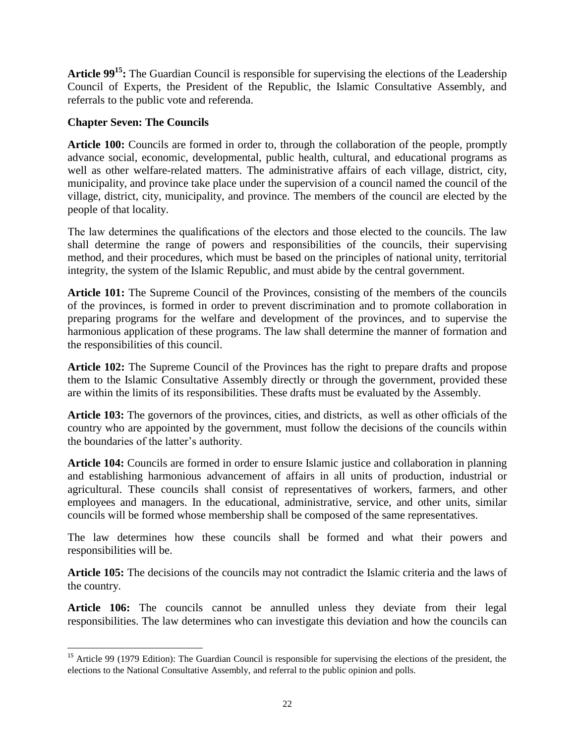**Article 99<sup>15</sup>:** The Guardian Council is responsible for supervising the elections of the Leadership Council of Experts, the President of the Republic, the Islamic Consultative Assembly, and referrals to the public vote and referenda.

# **Chapter Seven: The Councils**

l

**Article 100:** Councils are formed in order to, through the collaboration of the people, promptly advance social, economic, developmental, public health, cultural, and educational programs as well as other welfare-related matters. The administrative affairs of each village, district, city, municipality, and province take place under the supervision of a council named the council of the village, district, city, municipality, and province. The members of the council are elected by the people of that locality.

The law determines the qualifications of the electors and those elected to the councils. The law shall determine the range of powers and responsibilities of the councils, their supervising method, and their procedures, which must be based on the principles of national unity, territorial integrity, the system of the Islamic Republic, and must abide by the central government.

**Article 101:** The Supreme Council of the Provinces, consisting of the members of the councils of the provinces, is formed in order to prevent discrimination and to promote collaboration in preparing programs for the welfare and development of the provinces, and to supervise the harmonious application of these programs. The law shall determine the manner of formation and the responsibilities of this council.

**Article 102:** The Supreme Council of the Provinces has the right to prepare drafts and propose them to the Islamic Consultative Assembly directly or through the government, provided these are within the limits of its responsibilities. These drafts must be evaluated by the Assembly.

**Article 103:** The governors of the provinces, cities, and districts, as well as other officials of the country who are appointed by the government, must follow the decisions of the councils within the boundaries of the latter's authority.

**Article 104:** Councils are formed in order to ensure Islamic justice and collaboration in planning and establishing harmonious advancement of affairs in all units of production, industrial or agricultural. These councils shall consist of representatives of workers, farmers, and other employees and managers. In the educational, administrative, service, and other units, similar councils will be formed whose membership shall be composed of the same representatives.

The law determines how these councils shall be formed and what their powers and responsibilities will be.

**Article 105:** The decisions of the councils may not contradict the Islamic criteria and the laws of the country.

**Article 106:** The councils cannot be annulled unless they deviate from their legal responsibilities. The law determines who can investigate this deviation and how the councils can

<sup>&</sup>lt;sup>15</sup> Article 99 (1979 Edition): The Guardian Council is responsible for supervising the elections of the president, the elections to the National Consultative Assembly, and referral to the public opinion and polls.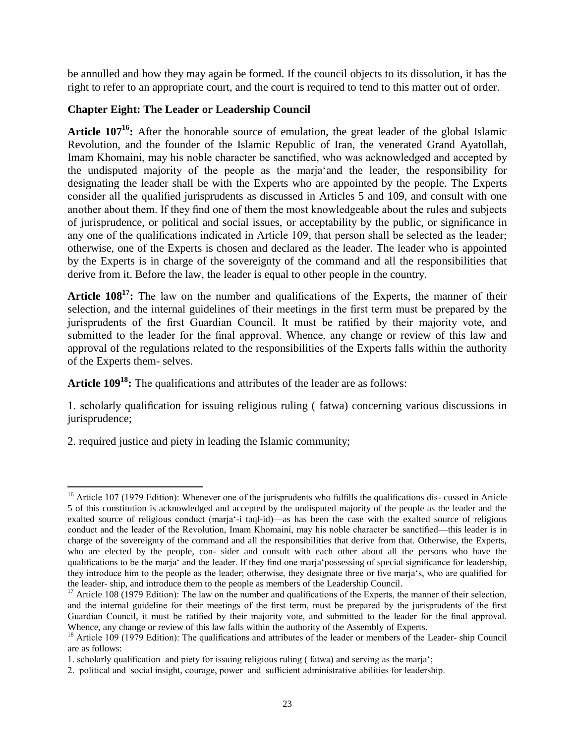be annulled and how they may again be formed. If the council objects to its dissolution, it has the right to refer to an appropriate court, and the court is required to tend to this matter out of order.

#### **Chapter Eight: The Leader or Leadership Council**

**Article 107<sup>16</sup>:** After the honorable source of emulation, the great leader of the global Islamic Revolution, and the founder of the Islamic Republic of Iran, the venerated Grand Ayatollah, Imam Khomaini, may his noble character be sanctified, who was acknowledged and accepted by the undisputed majority of the people as the marja'and the leader, the responsibility for designating the leader shall be with the Experts who are appointed by the people. The Experts consider all the qualified jurisprudents as discussed in Articles 5 and 109, and consult with one another about them. If they find one of them the most knowledgeable about the rules and subjects of jurisprudence, or political and social issues, or acceptability by the public, or significance in any one of the qualifications indicated in Article 109, that person shall be selected as the leader; otherwise, one of the Experts is chosen and declared as the leader. The leader who is appointed by the Experts is in charge of the sovereignty of the command and all the responsibilities that derive from it. Before the law, the leader is equal to other people in the country.

**Article 108<sup>17</sup>:** The law on the number and qualifications of the Experts, the manner of their selection, and the internal guidelines of their meetings in the first term must be prepared by the jurisprudents of the first Guardian Council. It must be ratified by their majority vote, and submitted to the leader for the final approval. Whence, any change or review of this law and approval of the regulations related to the responsibilities of the Experts falls within the authority of the Experts them- selves.

**Article 109<sup>18</sup>:** The qualifications and attributes of the leader are as follows:

1. scholarly qualification for issuing religious ruling ( fatwa) concerning various discussions in jurisprudence;

2. required justice and piety in leading the Islamic community;

 $\overline{a}$ <sup>16</sup> Article 107 (1979 Edition): Whenever one of the jurisprudents who fulfills the qualifications dis-cussed in Article 5 of this constitution is acknowledged and accepted by the undisputed majority of the people as the leader and the exalted source of religious conduct (marja'-i taql-id)—as has been the case with the exalted source of religious conduct and the leader of the Revolution, Imam Khomaini, may his noble character be sanctified—this leader is in charge of the sovereignty of the command and all the responsibilities that derive from that. Otherwise, the Experts, who are elected by the people, con- sider and consult with each other about all the persons who have the qualifications to be the marja' and the leader. If they find one marja'possessing of special significance for leadership, they introduce him to the people as the leader; otherwise, they designate three or five marja's, who are qualified for the leader- ship, and introduce them to the people as members of the Leadership Council.

<sup>&</sup>lt;sup>17</sup> Article 108 (1979 Edition): The law on the number and qualifications of the Experts, the manner of their selection, and the internal guideline for their meetings of the first term, must be prepared by the jurisprudents of the first Guardian Council, it must be ratified by their majority vote, and submitted to the leader for the final approval. Whence, any change or review of this law falls within the authority of the Assembly of Experts.

<sup>&</sup>lt;sup>18</sup> Article 109 (1979 Edition): The qualifications and attributes of the leader or members of the Leader-ship Council are as follows:

<sup>1.</sup> scholarly qualification and piety for issuing religious ruling ( fatwa) and serving as the marja';

<sup>2.</sup> political and social insight, courage, power and sufficient administrative abilities for leadership.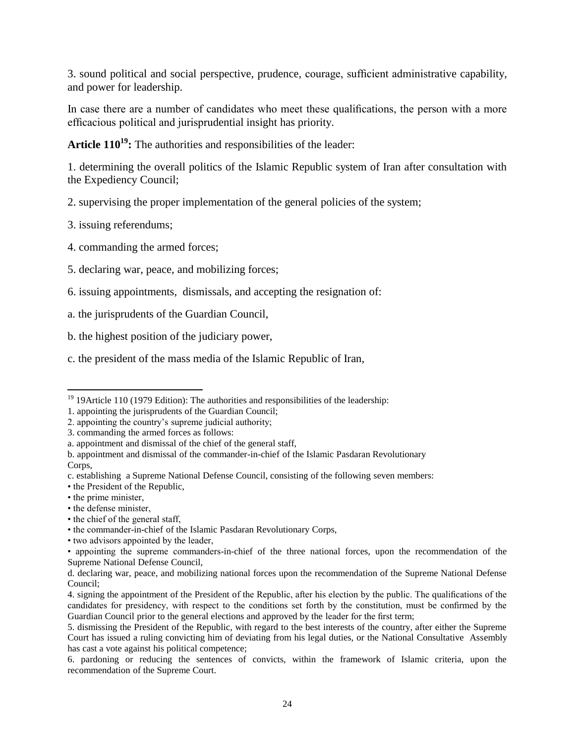3. sound political and social perspective, prudence, courage, sufficient administrative capability, and power for leadership.

In case there are a number of candidates who meet these qualifications, the person with a more efficacious political and jurisprudential insight has priority.

**Article 110<sup>19</sup>:** The authorities and responsibilities of the leader:

1. determining the overall politics of the Islamic Republic system of Iran after consultation with the Expediency Council;

2. supervising the proper implementation of the general policies of the system;

3. issuing referendums;

4. commanding the armed forces;

5. declaring war, peace, and mobilizing forces;

6. issuing appointments, dismissals, and accepting the resignation of:

a. the jurisprudents of the Guardian Council,

b. the highest position of the judiciary power,

c. the president of the mass media of the Islamic Republic of Iran,

• two advisors appointed by the leader,

 $\overline{a}$  $19$  19Article 110 (1979 Edition): The authorities and responsibilities of the leadership:

<sup>1.</sup> appointing the jurisprudents of the Guardian Council;

<sup>2.</sup> appointing the country's supreme judicial authority;

<sup>3.</sup> commanding the armed forces as follows:

a. appointment and dismissal of the chief of the general staff,

b. appointment and dismissal of the commander-in-chief of the Islamic Pasdaran Revolutionary Corps,

c. establishing a Supreme National Defense Council, consisting of the following seven members:

<sup>•</sup> the President of the Republic,

<sup>•</sup> the prime minister,

<sup>•</sup> the defense minister,

<sup>•</sup> the chief of the general staff,

<sup>•</sup> the commander-in-chief of the Islamic Pasdaran Revolutionary Corps,

<sup>•</sup> appointing the supreme commanders-in-chief of the three national forces, upon the recommendation of the Supreme National Defense Council,

d. declaring war, peace, and mobilizing national forces upon the recommendation of the Supreme National Defense Council;

<sup>4.</sup> signing the appointment of the President of the Republic, after his election by the public. The qualifications of the candidates for presidency, with respect to the conditions set forth by the constitution, must be confirmed by the Guardian Council prior to the general elections and approved by the leader for the first term;

<sup>5.</sup> dismissing the President of the Republic, with regard to the best interests of the country, after either the Supreme Court has issued a ruling convicting him of deviating from his legal duties, or the National Consultative Assembly has cast a vote against his political competence;

<sup>6.</sup> pardoning or reducing the sentences of convicts, within the framework of Islamic criteria, upon the recommendation of the Supreme Court.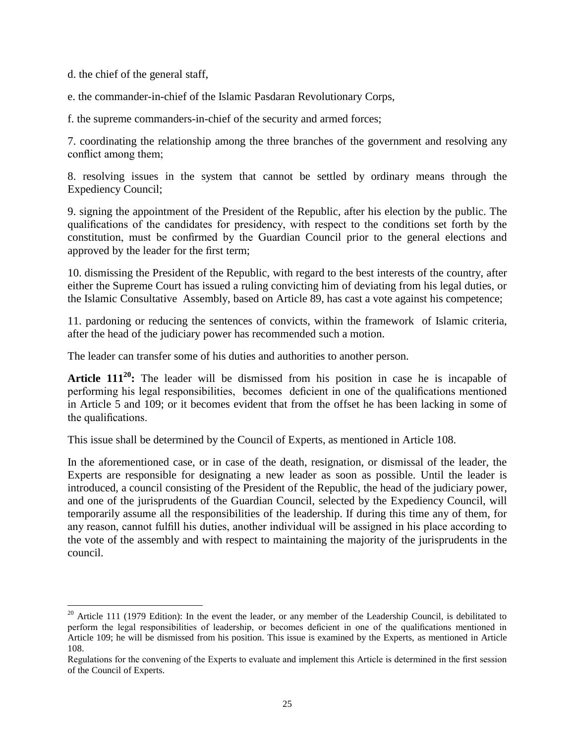d. the chief of the general staff,

l

e. the commander-in-chief of the Islamic Pasdaran Revolutionary Corps,

f. the supreme commanders-in-chief of the security and armed forces;

7. coordinating the relationship among the three branches of the government and resolving any conflict among them;

8. resolving issues in the system that cannot be settled by ordinary means through the Expediency Council;

9. signing the appointment of the President of the Republic, after his election by the public. The qualifications of the candidates for presidency, with respect to the conditions set forth by the constitution, must be confirmed by the Guardian Council prior to the general elections and approved by the leader for the first term;

10. dismissing the President of the Republic, with regard to the best interests of the country, after either the Supreme Court has issued a ruling convicting him of deviating from his legal duties, or the Islamic Consultative Assembly, based on Article 89, has cast a vote against his competence;

11. pardoning or reducing the sentences of convicts, within the framework of Islamic criteria, after the head of the judiciary power has recommended such a motion.

The leader can transfer some of his duties and authorities to another person.

**Article 111<sup>20</sup>:** The leader will be dismissed from his position in case he is incapable of performing his legal responsibilities, becomes deficient in one of the qualifications mentioned in Article 5 and 109; or it becomes evident that from the offset he has been lacking in some of the qualifications.

This issue shall be determined by the Council of Experts, as mentioned in Article 108.

In the aforementioned case, or in case of the death, resignation, or dismissal of the leader, the Experts are responsible for designating a new leader as soon as possible. Until the leader is introduced, a council consisting of the President of the Republic, the head of the judiciary power, and one of the jurisprudents of the Guardian Council, selected by the Expediency Council, will temporarily assume all the responsibilities of the leadership. If during this time any of them, for any reason, cannot fulfill his duties, another individual will be assigned in his place according to the vote of the assembly and with respect to maintaining the majority of the jurisprudents in the council.

<sup>&</sup>lt;sup>20</sup> Article 111 (1979 Edition): In the event the leader, or any member of the Leadership Council, is debilitated to perform the legal responsibilities of leadership, or becomes deficient in one of the qualifications mentioned in Article 109; he will be dismissed from his position. This issue is examined by the Experts, as mentioned in Article 108.

Regulations for the convening of the Experts to evaluate and implement this Article is determined in the first session of the Council of Experts.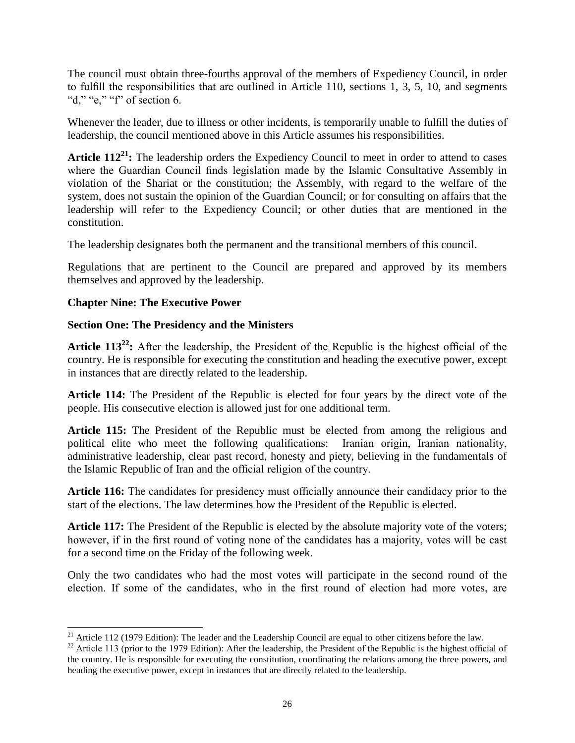The council must obtain three-fourths approval of the members of Expediency Council, in order to fulfill the responsibilities that are outlined in Article 110, sections 1, 3, 5, 10, and segments "d," "e," "f" of section  $6$ .

Whenever the leader, due to illness or other incidents, is temporarily unable to fulfill the duties of leadership, the council mentioned above in this Article assumes his responsibilities.

**Article 112<sup>21</sup>:** The leadership orders the Expediency Council to meet in order to attend to cases where the Guardian Council finds legislation made by the Islamic Consultative Assembly in violation of the Shariat or the constitution; the Assembly, with regard to the welfare of the system, does not sustain the opinion of the Guardian Council; or for consulting on affairs that the leadership will refer to the Expediency Council; or other duties that are mentioned in the constitution.

The leadership designates both the permanent and the transitional members of this council.

Regulations that are pertinent to the Council are prepared and approved by its members themselves and approved by the leadership.

# **Chapter Nine: The Executive Power**

# **Section One: The Presidency and the Ministers**

**Article 113<sup>22</sup>:** After the leadership, the President of the Republic is the highest official of the country. He is responsible for executing the constitution and heading the executive power, except in instances that are directly related to the leadership.

**Article 114:** The President of the Republic is elected for four years by the direct vote of the people. His consecutive election is allowed just for one additional term.

**Article 115:** The President of the Republic must be elected from among the religious and political elite who meet the following qualifications: Iranian origin, Iranian nationality, administrative leadership, clear past record, honesty and piety, believing in the fundamentals of the Islamic Republic of Iran and the official religion of the country.

**Article 116:** The candidates for presidency must officially announce their candidacy prior to the start of the elections. The law determines how the President of the Republic is elected.

**Article 117:** The President of the Republic is elected by the absolute majority vote of the voters; however, if in the first round of voting none of the candidates has a majority, votes will be cast for a second time on the Friday of the following week.

Only the two candidates who had the most votes will participate in the second round of the election. If some of the candidates, who in the first round of election had more votes, are

 $\overline{\phantom{a}}$ <sup>21</sup> Article 112 (1979 Edition): The leader and the Leadership Council are equal to other citizens before the law.

<sup>&</sup>lt;sup>22</sup> Article 113 (prior to the 1979 Edition): After the leadership, the President of the Republic is the highest official of the country. He is responsible for executing the constitution, coordinating the relations among the three powers, and heading the executive power, except in instances that are directly related to the leadership.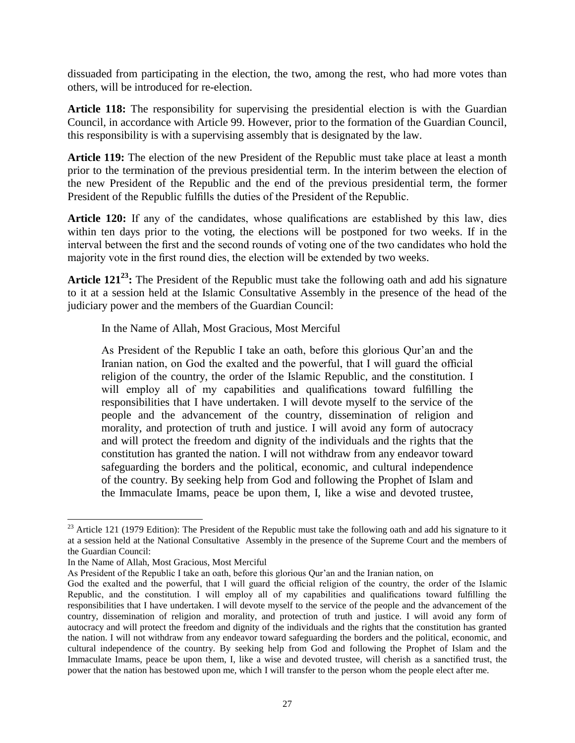dissuaded from participating in the election, the two, among the rest, who had more votes than others, will be introduced for re-election.

**Article 118:** The responsibility for supervising the presidential election is with the Guardian Council, in accordance with Article 99. However, prior to the formation of the Guardian Council, this responsibility is with a supervising assembly that is designated by the law.

**Article 119:** The election of the new President of the Republic must take place at least a month prior to the termination of the previous presidential term. In the interim between the election of the new President of the Republic and the end of the previous presidential term, the former President of the Republic fulfills the duties of the President of the Republic.

Article 120: If any of the candidates, whose qualifications are established by this law, dies within ten days prior to the voting, the elections will be postponed for two weeks. If in the interval between the first and the second rounds of voting one of the two candidates who hold the majority vote in the first round dies, the election will be extended by two weeks.

**Article 121<sup>23</sup>:** The President of the Republic must take the following oath and add his signature to it at a session held at the Islamic Consultative Assembly in the presence of the head of the judiciary power and the members of the Guardian Council:

In the Name of Allah, Most Gracious, Most Merciful

As President of the Republic I take an oath, before this glorious Qur'an and the Iranian nation, on God the exalted and the powerful, that I will guard the official religion of the country, the order of the Islamic Republic, and the constitution. I will employ all of my capabilities and qualifications toward fulfilling the responsibilities that I have undertaken. I will devote myself to the service of the people and the advancement of the country, dissemination of religion and morality, and protection of truth and justice. I will avoid any form of autocracy and will protect the freedom and dignity of the individuals and the rights that the constitution has granted the nation. I will not withdraw from any endeavor toward safeguarding the borders and the political, economic, and cultural independence of the country. By seeking help from God and following the Prophet of Islam and the Immaculate Imams, peace be upon them, I, like a wise and devoted trustee,

 $\overline{a}$ 

 $^{23}$  Article 121 (1979 Edition): The President of the Republic must take the following oath and add his signature to it at a session held at the National Consultative Assembly in the presence of the Supreme Court and the members of the Guardian Council:

In the Name of Allah, Most Gracious, Most Merciful

As President of the Republic I take an oath, before this glorious Qur'an and the Iranian nation, on

God the exalted and the powerful, that I will guard the official religion of the country, the order of the Islamic Republic, and the constitution. I will employ all of my capabilities and qualifications toward fulfilling the responsibilities that I have undertaken. I will devote myself to the service of the people and the advancement of the country, dissemination of religion and morality, and protection of truth and justice. I will avoid any form of autocracy and will protect the freedom and dignity of the individuals and the rights that the constitution has granted the nation. I will not withdraw from any endeavor toward safeguarding the borders and the political, economic, and cultural independence of the country. By seeking help from God and following the Prophet of Islam and the Immaculate Imams, peace be upon them, I, like a wise and devoted trustee, will cherish as a sanctified trust, the power that the nation has bestowed upon me, which I will transfer to the person whom the people elect after me.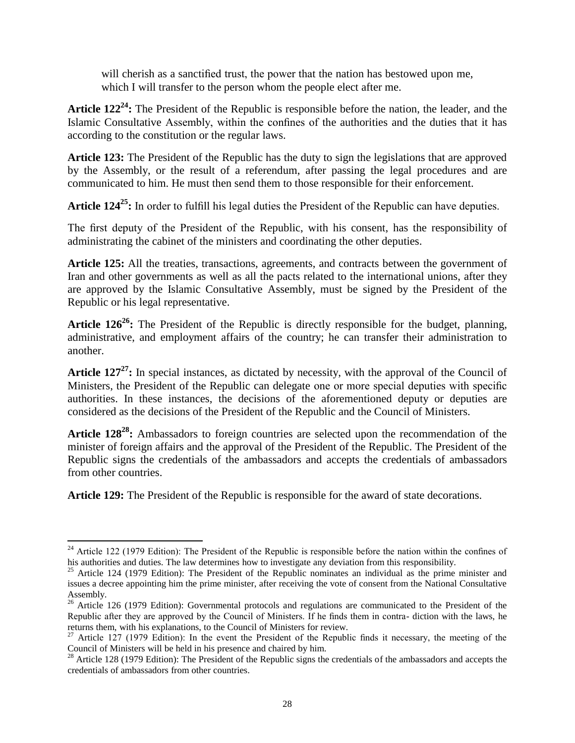will cherish as a sanctified trust, the power that the nation has bestowed upon me, which I will transfer to the person whom the people elect after me.

**Article 122<sup>24</sup>:** The President of the Republic is responsible before the nation, the leader, and the Islamic Consultative Assembly, within the confines of the authorities and the duties that it has according to the constitution or the regular laws.

**Article 123:** The President of the Republic has the duty to sign the legislations that are approved by the Assembly, or the result of a referendum, after passing the legal procedures and are communicated to him. He must then send them to those responsible for their enforcement.

**Article 124<sup>25</sup>:** In order to fulfill his legal duties the President of the Republic can have deputies.

The first deputy of the President of the Republic, with his consent, has the responsibility of administrating the cabinet of the ministers and coordinating the other deputies.

**Article 125:** All the treaties, transactions, agreements, and contracts between the government of Iran and other governments as well as all the pacts related to the international unions, after they are approved by the Islamic Consultative Assembly, must be signed by the President of the Republic or his legal representative.

**Article 126<sup>26</sup>:** The President of the Republic is directly responsible for the budget, planning, administrative, and employment affairs of the country; he can transfer their administration to another.

**Article 127<sup>27</sup>:** In special instances, as dictated by necessity, with the approval of the Council of Ministers, the President of the Republic can delegate one or more special deputies with specific authorities. In these instances, the decisions of the aforementioned deputy or deputies are considered as the decisions of the President of the Republic and the Council of Ministers.

**Article 128<sup>28</sup>:** Ambassadors to foreign countries are selected upon the recommendation of the minister of foreign affairs and the approval of the President of the Republic. The President of the Republic signs the credentials of the ambassadors and accepts the credentials of ambassadors from other countries.

**Article 129:** The President of the Republic is responsible for the award of state decorations.

l  $24$  Article 122 (1979 Edition): The President of the Republic is responsible before the nation within the confines of his authorities and duties. The law determines how to investigate any deviation from this responsibility.

<sup>&</sup>lt;sup>25</sup> Article 124 (1979 Edition): The President of the Republic nominates an individual as the prime minister and issues a decree appointing him the prime minister, after receiving the vote of consent from the National Consultative Assembly.

<sup>&</sup>lt;sup>26</sup> Article 126 (1979 Edition): Governmental protocols and regulations are communicated to the President of the Republic after they are approved by the Council of Ministers. If he finds them in contra- diction with the laws, he returns them, with his explanations, to the Council of Ministers for review.

<sup>&</sup>lt;sup>27</sup> Article 127 (1979 Edition): In the event the President of the Republic finds it necessary, the meeting of the Council of Ministers will be held in his presence and chaired by him.

 $28$  Article 128 (1979 Edition): The President of the Republic signs the credentials of the ambassadors and accepts the credentials of ambassadors from other countries.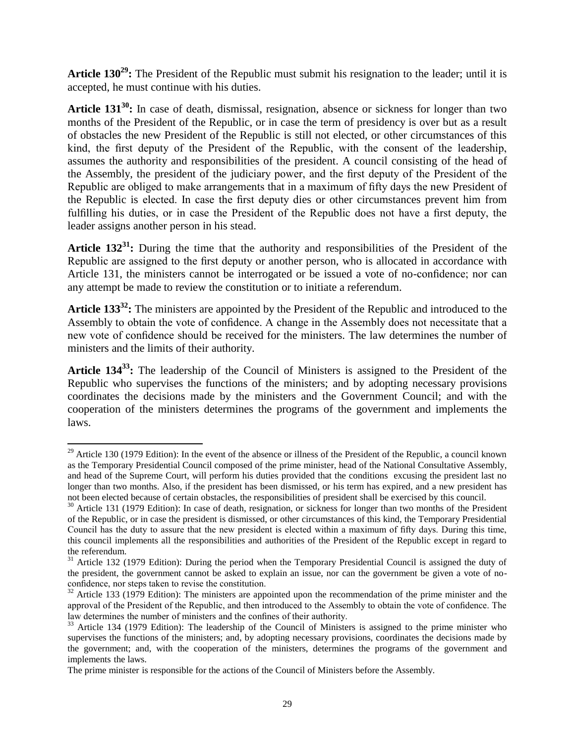**Article 130<sup>29</sup>:** The President of the Republic must submit his resignation to the leader; until it is accepted, he must continue with his duties.

**Article 131<sup>30</sup>:** In case of death, dismissal, resignation, absence or sickness for longer than two months of the President of the Republic, or in case the term of presidency is over but as a result of obstacles the new President of the Republic is still not elected, or other circumstances of this kind, the first deputy of the President of the Republic, with the consent of the leadership, assumes the authority and responsibilities of the president. A council consisting of the head of the Assembly, the president of the judiciary power, and the first deputy of the President of the Republic are obliged to make arrangements that in a maximum of fifty days the new President of the Republic is elected. In case the first deputy dies or other circumstances prevent him from fulfilling his duties, or in case the President of the Republic does not have a first deputy, the leader assigns another person in his stead.

**Article 132<sup>31</sup>:** During the time that the authority and responsibilities of the President of the Republic are assigned to the first deputy or another person, who is allocated in accordance with Article 131, the ministers cannot be interrogated or be issued a vote of no-confidence; nor can any attempt be made to review the constitution or to initiate a referendum.

**Article 133<sup>32</sup>:** The ministers are appointed by the President of the Republic and introduced to the Assembly to obtain the vote of confidence. A change in the Assembly does not necessitate that a new vote of confidence should be received for the ministers. The law determines the number of ministers and the limits of their authority.

**Article 134<sup>33</sup>:** The leadership of the Council of Ministers is assigned to the President of the Republic who supervises the functions of the ministers; and by adopting necessary provisions coordinates the decisions made by the ministers and the Government Council; and with the cooperation of the ministers determines the programs of the government and implements the laws.

l <sup>29</sup> Article 130 (1979 Edition): In the event of the absence or illness of the President of the Republic, a council known as the Temporary Presidential Council composed of the prime minister, head of the National Consultative Assembly, and head of the Supreme Court, will perform his duties provided that the conditions excusing the president last no longer than two months. Also, if the president has been dismissed, or his term has expired, and a new president has not been elected because of certain obstacles, the responsibilities of president shall be exercised by this council.

<sup>&</sup>lt;sup>30</sup> Article 131 (1979 Edition): In case of death, resignation, or sickness for longer than two months of the President of the Republic, or in case the president is dismissed, or other circumstances of this kind, the Temporary Presidential Council has the duty to assure that the new president is elected within a maximum of fifty days. During this time, this council implements all the responsibilities and authorities of the President of the Republic except in regard to the referendum.

<sup>&</sup>lt;sup>31</sup> Article 132 (1979 Edition): During the period when the Temporary Presidential Council is assigned the duty of the president, the government cannot be asked to explain an issue, nor can the government be given a vote of noconfidence, nor steps taken to revise the constitution.

 $32$  Article 133 (1979 Edition): The ministers are appointed upon the recommendation of the prime minister and the approval of the President of the Republic, and then introduced to the Assembly to obtain the vote of confidence. The law determines the number of ministers and the confines of their authority.

<sup>&</sup>lt;sup>33</sup> Article 134 (1979 Edition): The leadership of the Council of Ministers is assigned to the prime minister who supervises the functions of the ministers; and, by adopting necessary provisions, coordinates the decisions made by the government; and, with the cooperation of the ministers, determines the programs of the government and implements the laws.

The prime minister is responsible for the actions of the Council of Ministers before the Assembly.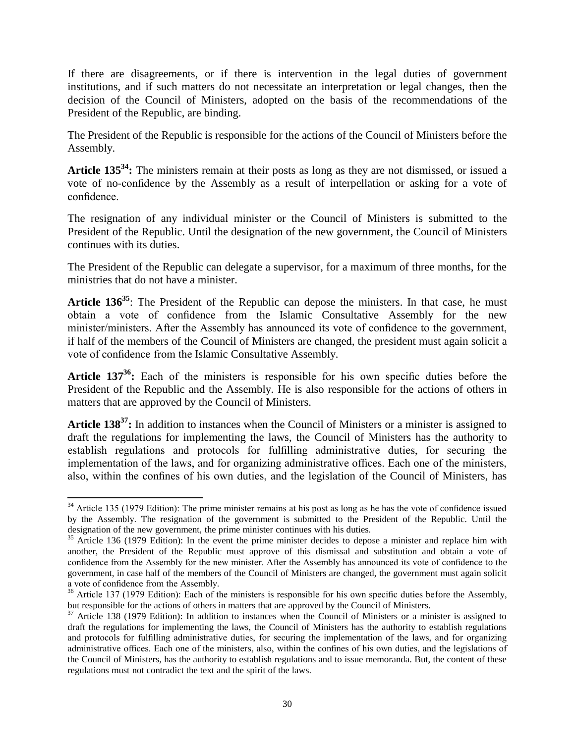If there are disagreements, or if there is intervention in the legal duties of government institutions, and if such matters do not necessitate an interpretation or legal changes, then the decision of the Council of Ministers, adopted on the basis of the recommendations of the President of the Republic, are binding.

The President of the Republic is responsible for the actions of the Council of Ministers before the Assembly.

**Article 135<sup>34</sup>:** The ministers remain at their posts as long as they are not dismissed, or issued a vote of no-confidence by the Assembly as a result of interpellation or asking for a vote of confidence.

The resignation of any individual minister or the Council of Ministers is submitted to the President of the Republic. Until the designation of the new government, the Council of Ministers continues with its duties.

The President of the Republic can delegate a supervisor, for a maximum of three months, for the ministries that do not have a minister.

Article 136<sup>35</sup>: The President of the Republic can depose the ministers. In that case, he must obtain a vote of confidence from the Islamic Consultative Assembly for the new minister/ministers. After the Assembly has announced its vote of confidence to the government, if half of the members of the Council of Ministers are changed, the president must again solicit a vote of confidence from the Islamic Consultative Assembly.

**Article 137<sup>36</sup>:** Each of the ministers is responsible for his own specific duties before the President of the Republic and the Assembly. He is also responsible for the actions of others in matters that are approved by the Council of Ministers.

**Article 138<sup>37</sup>:** In addition to instances when the Council of Ministers or a minister is assigned to draft the regulations for implementing the laws, the Council of Ministers has the authority to establish regulations and protocols for fulfilling administrative duties, for securing the implementation of the laws, and for organizing administrative offices. Each one of the ministers, also, within the confines of his own duties, and the legislation of the Council of Ministers, has

 $\overline{\phantom{a}}$  $34$  Article 135 (1979 Edition): The prime minister remains at his post as long as he has the vote of confidence issued by the Assembly. The resignation of the government is submitted to the President of the Republic. Until the designation of the new government, the prime minister continues with his duties.

 $35$  Article 136 (1979 Edition): In the event the prime minister decides to depose a minister and replace him with another, the President of the Republic must approve of this dismissal and substitution and obtain a vote of confidence from the Assembly for the new minister. After the Assembly has announced its vote of confidence to the government, in case half of the members of the Council of Ministers are changed, the government must again solicit a vote of confidence from the Assembly.

 $36$  Article 137 (1979 Edition): Each of the ministers is responsible for his own specific duties before the Assembly, but responsible for the actions of others in matters that are approved by the Council of Ministers.

 $37$  Article 138 (1979 Edition): In addition to instances when the Council of Ministers or a minister is assigned to draft the regulations for implementing the laws, the Council of Ministers has the authority to establish regulations and protocols for fulfilling administrative duties, for securing the implementation of the laws, and for organizing administrative offices. Each one of the ministers, also, within the confines of his own duties, and the legislations of the Council of Ministers, has the authority to establish regulations and to issue memoranda. But, the content of these regulations must not contradict the text and the spirit of the laws.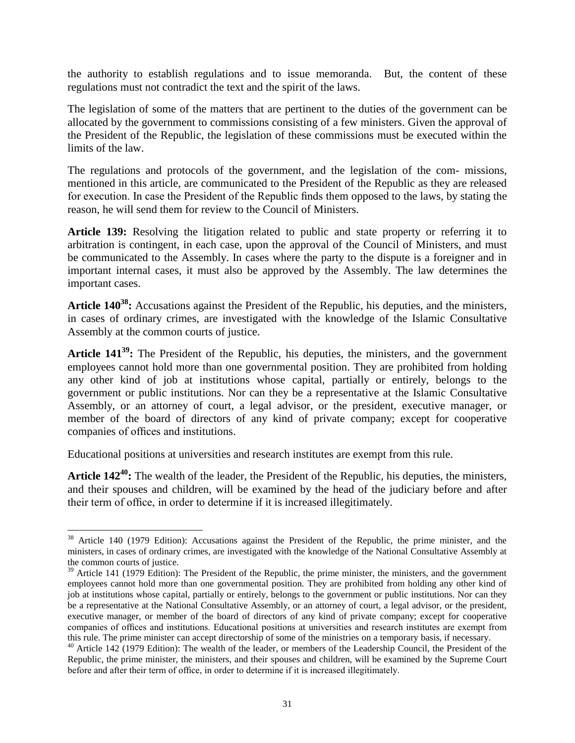the authority to establish regulations and to issue memoranda. But, the content of these regulations must not contradict the text and the spirit of the laws.

The legislation of some of the matters that are pertinent to the duties of the government can be allocated by the government to commissions consisting of a few ministers. Given the approval of the President of the Republic, the legislation of these commissions must be executed within the limits of the law.

The regulations and protocols of the government, and the legislation of the com- missions, mentioned in this article, are communicated to the President of the Republic as they are released for execution. In case the President of the Republic finds them opposed to the laws, by stating the reason, he will send them for review to the Council of Ministers.

**Article 139:** Resolving the litigation related to public and state property or referring it to arbitration is contingent, in each case, upon the approval of the Council of Ministers, and must be communicated to the Assembly. In cases where the party to the dispute is a foreigner and in important internal cases, it must also be approved by the Assembly. The law determines the important cases.

**Article 140<sup>38</sup>:** Accusations against the President of the Republic, his deputies, and the ministers, in cases of ordinary crimes, are investigated with the knowledge of the Islamic Consultative Assembly at the common courts of justice.

**Article 141<sup>39</sup>:** The President of the Republic, his deputies, the ministers, and the government employees cannot hold more than one governmental position. They are prohibited from holding any other kind of job at institutions whose capital, partially or entirely, belongs to the government or public institutions. Nor can they be a representative at the Islamic Consultative Assembly, or an attorney of court, a legal advisor, or the president, executive manager, or member of the board of directors of any kind of private company; except for cooperative companies of offices and institutions.

Educational positions at universities and research institutes are exempt from this rule.

**Article 142<sup>40</sup>:** The wealth of the leader, the President of the Republic, his deputies, the ministers, and their spouses and children, will be examined by the head of the judiciary before and after their term of office, in order to determine if it is increased illegitimately.

 $\overline{\phantom{a}}$ <sup>38</sup> Article 140 (1979 Edition): Accusations against the President of the Republic, the prime minister, and the ministers, in cases of ordinary crimes, are investigated with the knowledge of the National Consultative Assembly at the common courts of justice.

<sup>&</sup>lt;sup>39</sup> Article 141 (1979 Edition): The President of the Republic, the prime minister, the ministers, and the government employees cannot hold more than one governmental position. They are prohibited from holding any other kind of job at institutions whose capital, partially or entirely, belongs to the government or public institutions. Nor can they be a representative at the National Consultative Assembly, or an attorney of court, a legal advisor, or the president, executive manager, or member of the board of directors of any kind of private company; except for cooperative companies of offices and institutions. Educational positions at universities and research institutes are exempt from this rule. The prime minister can accept directorship of some of the ministries on a temporary basis, if necessary.

 $^{40}$  Article 142 (1979 Edition): The wealth of the leader, or members of the Leadership Council, the President of the Republic, the prime minister, the ministers, and their spouses and children, will be examined by the Supreme Court before and after their term of office, in order to determine if it is increased illegitimately.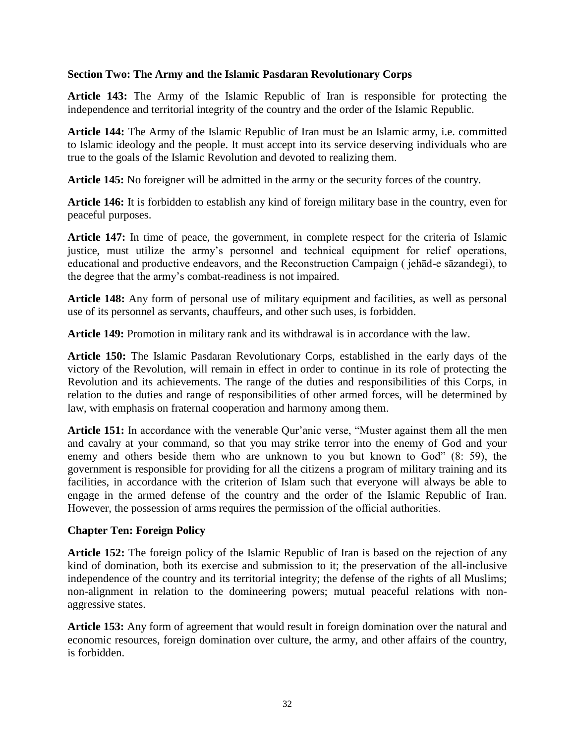#### **Section Two: The Army and the Islamic Pasdaran Revolutionary Corps**

**Article 143:** The Army of the Islamic Republic of Iran is responsible for protecting the independence and territorial integrity of the country and the order of the Islamic Republic.

**Article 144:** The Army of the Islamic Republic of Iran must be an Islamic army, i.e. committed to Islamic ideology and the people. It must accept into its service deserving individuals who are true to the goals of the Islamic Revolution and devoted to realizing them.

**Article 145:** No foreigner will be admitted in the army or the security forces of the country.

**Article 146:** It is forbidden to establish any kind of foreign military base in the country, even for peaceful purposes.

**Article 147:** In time of peace, the government, in complete respect for the criteria of Islamic justice, must utilize the army's personnel and technical equipment for relief operations, educational and productive endeavors, and the Reconstruction Campaign ( jehād-e sāzandegi), to the degree that the army's combat-readiness is not impaired.

**Article 148:** Any form of personal use of military equipment and facilities, as well as personal use of its personnel as servants, chauffeurs, and other such uses, is forbidden.

**Article 149:** Promotion in military rank and its withdrawal is in accordance with the law.

**Article 150:** The Islamic Pasdaran Revolutionary Corps, established in the early days of the victory of the Revolution, will remain in effect in order to continue in its role of protecting the Revolution and its achievements. The range of the duties and responsibilities of this Corps, in relation to the duties and range of responsibilities of other armed forces, will be determined by law, with emphasis on fraternal cooperation and harmony among them.

**Article 151:** In accordance with the venerable Qur'anic verse, "Muster against them all the men and cavalry at your command, so that you may strike terror into the enemy of God and your enemy and others beside them who are unknown to you but known to God" (8: 59), the government is responsible for providing for all the citizens a program of military training and its facilities, in accordance with the criterion of Islam such that everyone will always be able to engage in the armed defense of the country and the order of the Islamic Republic of Iran. However, the possession of arms requires the permission of the official authorities.

#### **Chapter Ten: Foreign Policy**

**Article 152:** The foreign policy of the Islamic Republic of Iran is based on the rejection of any kind of domination, both its exercise and submission to it; the preservation of the all-inclusive independence of the country and its territorial integrity; the defense of the rights of all Muslims; non-alignment in relation to the domineering powers; mutual peaceful relations with nonaggressive states.

**Article 153:** Any form of agreement that would result in foreign domination over the natural and economic resources, foreign domination over culture, the army, and other affairs of the country, is forbidden.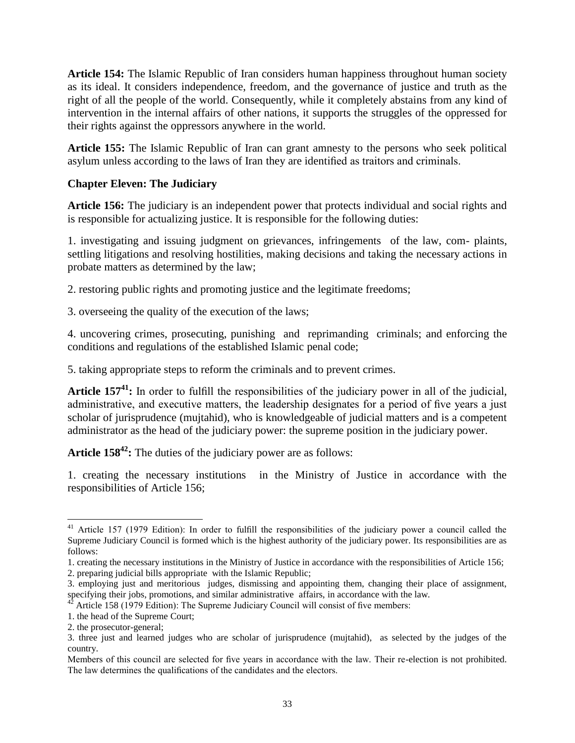**Article 154:** The Islamic Republic of Iran considers human happiness throughout human society as its ideal. It considers independence, freedom, and the governance of justice and truth as the right of all the people of the world. Consequently, while it completely abstains from any kind of intervention in the internal affairs of other nations, it supports the struggles of the oppressed for their rights against the oppressors anywhere in the world.

**Article 155:** The Islamic Republic of Iran can grant amnesty to the persons who seek political asylum unless according to the laws of Iran they are identified as traitors and criminals.

# **Chapter Eleven: The Judiciary**

**Article 156:** The judiciary is an independent power that protects individual and social rights and is responsible for actualizing justice. It is responsible for the following duties:

1. investigating and issuing judgment on grievances, infringements of the law, com- plaints, settling litigations and resolving hostilities, making decisions and taking the necessary actions in probate matters as determined by the law;

2. restoring public rights and promoting justice and the legitimate freedoms;

3. overseeing the quality of the execution of the laws;

4. uncovering crimes, prosecuting, punishing and reprimanding criminals; and enforcing the conditions and regulations of the established Islamic penal code;

5. taking appropriate steps to reform the criminals and to prevent crimes.

**Article 157<sup>41</sup>:** In order to fulfill the responsibilities of the judiciary power in all of the judicial, administrative, and executive matters, the leadership designates for a period of five years a just scholar of jurisprudence (mujtahid), who is knowledgeable of judicial matters and is a competent administrator as the head of the judiciary power: the supreme position in the judiciary power.

**Article 158<sup>42</sup>:** The duties of the judiciary power are as follows:

1. creating the necessary institutions in the Ministry of Justice in accordance with the responsibilities of Article 156;

 $\overline{a}$  $41$  Article 157 (1979 Edition): In order to fulfill the responsibilities of the judiciary power a council called the Supreme Judiciary Council is formed which is the highest authority of the judiciary power. Its responsibilities are as follows:

<sup>1.</sup> creating the necessary institutions in the Ministry of Justice in accordance with the responsibilities of Article 156;

<sup>2.</sup> preparing judicial bills appropriate with the Islamic Republic;

<sup>3.</sup> employing just and meritorious judges, dismissing and appointing them, changing their place of assignment, specifying their jobs, promotions, and similar administrative affairs, in accordance with the law.

 $42$  Article 158 (1979 Edition): The Supreme Judiciary Council will consist of five members:

<sup>1.</sup> the head of the Supreme Court;

<sup>2.</sup> the prosecutor-general;

<sup>3.</sup> three just and learned judges who are scholar of jurisprudence (mujtahid), as selected by the judges of the country.

Members of this council are selected for five years in accordance with the law. Their re-election is not prohibited. The law determines the qualifications of the candidates and the electors.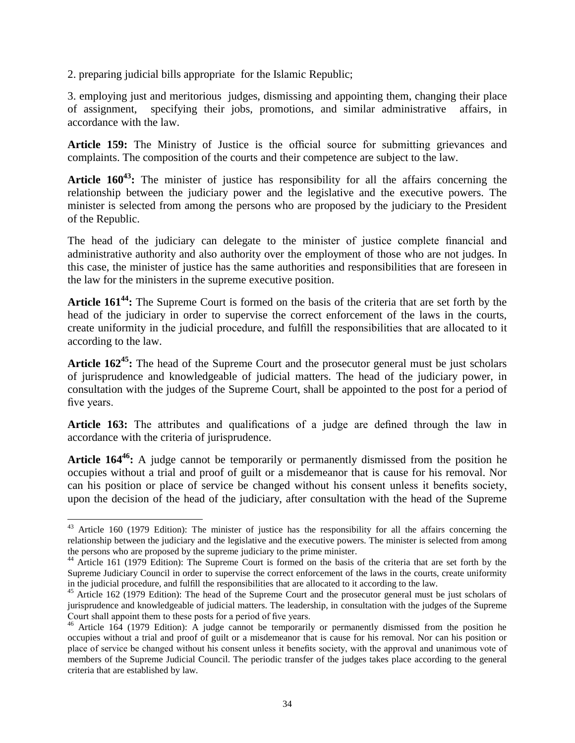2. preparing judicial bills appropriate for the Islamic Republic;

3. employing just and meritorious judges, dismissing and appointing them, changing their place of assignment, specifying their jobs, promotions, and similar administrative affairs, in accordance with the law.

**Article 159:** The Ministry of Justice is the official source for submitting grievances and complaints. The composition of the courts and their competence are subject to the law.

**Article 160<sup>43</sup>:** The minister of justice has responsibility for all the affairs concerning the relationship between the judiciary power and the legislative and the executive powers. The minister is selected from among the persons who are proposed by the judiciary to the President of the Republic.

The head of the judiciary can delegate to the minister of justice complete financial and administrative authority and also authority over the employment of those who are not judges. In this case, the minister of justice has the same authorities and responsibilities that are foreseen in the law for the ministers in the supreme executive position.

**Article 161<sup>44</sup>:** The Supreme Court is formed on the basis of the criteria that are set forth by the head of the judiciary in order to supervise the correct enforcement of the laws in the courts, create uniformity in the judicial procedure, and fulfill the responsibilities that are allocated to it according to the law.

**Article 162<sup>45</sup>:** The head of the Supreme Court and the prosecutor general must be just scholars of jurisprudence and knowledgeable of judicial matters. The head of the judiciary power, in consultation with the judges of the Supreme Court, shall be appointed to the post for a period of five years.

**Article 163:** The attributes and qualifications of a judge are defined through the law in accordance with the criteria of jurisprudence.

**Article 164<sup>46</sup>:** A judge cannot be temporarily or permanently dismissed from the position he occupies without a trial and proof of guilt or a misdemeanor that is cause for his removal. Nor can his position or place of service be changed without his consent unless it benefits society, upon the decision of the head of the judiciary, after consultation with the head of the Supreme

 $\overline{a}$  $43$  Article 160 (1979 Edition): The minister of justice has the responsibility for all the affairs concerning the relationship between the judiciary and the legislative and the executive powers. The minister is selected from among the persons who are proposed by the supreme judiciary to the prime minister.

<sup>&</sup>lt;sup>44</sup> Article 161 (1979 Edition): The Supreme Court is formed on the basis of the criteria that are set forth by the Supreme Judiciary Council in order to supervise the correct enforcement of the laws in the courts, create uniformity in the judicial procedure, and fulfill the responsibilities that are allocated to it according to the law.

<sup>&</sup>lt;sup>45</sup> Article 162 (1979 Edition): The head of the Supreme Court and the prosecutor general must be just scholars of jurisprudence and knowledgeable of judicial matters. The leadership, in consultation with the judges of the Supreme Court shall appoint them to these posts for a period of five years.

<sup>&</sup>lt;sup>46</sup> Article 164 (1979 Edition): A judge cannot be temporarily or permanently dismissed from the position he occupies without a trial and proof of guilt or a misdemeanor that is cause for his removal. Nor can his position or place of service be changed without his consent unless it benefits society, with the approval and unanimous vote of members of the Supreme Judicial Council. The periodic transfer of the judges takes place according to the general criteria that are established by law.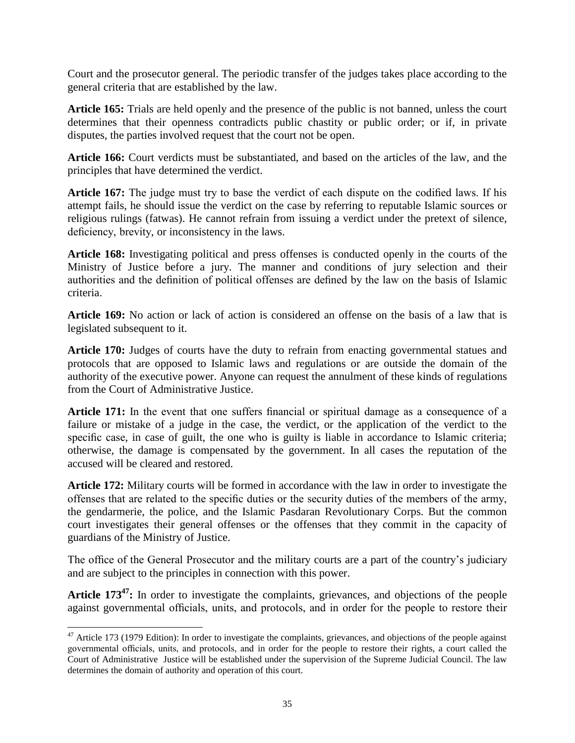Court and the prosecutor general. The periodic transfer of the judges takes place according to the general criteria that are established by the law.

**Article 165:** Trials are held openly and the presence of the public is not banned, unless the court determines that their openness contradicts public chastity or public order; or if, in private disputes, the parties involved request that the court not be open.

**Article 166:** Court verdicts must be substantiated, and based on the articles of the law, and the principles that have determined the verdict.

**Article 167:** The judge must try to base the verdict of each dispute on the codified laws. If his attempt fails, he should issue the verdict on the case by referring to reputable Islamic sources or religious rulings (fatwas). He cannot refrain from issuing a verdict under the pretext of silence, deficiency, brevity, or inconsistency in the laws.

**Article 168:** Investigating political and press offenses is conducted openly in the courts of the Ministry of Justice before a jury. The manner and conditions of jury selection and their authorities and the definition of political offenses are defined by the law on the basis of Islamic criteria.

**Article 169:** No action or lack of action is considered an offense on the basis of a law that is legislated subsequent to it.

**Article 170:** Judges of courts have the duty to refrain from enacting governmental statues and protocols that are opposed to Islamic laws and regulations or are outside the domain of the authority of the executive power. Anyone can request the annulment of these kinds of regulations from the Court of Administrative Justice.

**Article 171:** In the event that one suffers financial or spiritual damage as a consequence of a failure or mistake of a judge in the case, the verdict, or the application of the verdict to the specific case, in case of guilt, the one who is guilty is liable in accordance to Islamic criteria; otherwise, the damage is compensated by the government. In all cases the reputation of the accused will be cleared and restored.

**Article 172:** Military courts will be formed in accordance with the law in order to investigate the offenses that are related to the specific duties or the security duties of the members of the army, the gendarmerie, the police, and the Islamic Pasdaran Revolutionary Corps. But the common court investigates their general offenses or the offenses that they commit in the capacity of guardians of the Ministry of Justice.

The office of the General Prosecutor and the military courts are a part of the country's judiciary and are subject to the principles in connection with this power.

**Article 173<sup>47</sup>:** In order to investigate the complaints, grievances, and objections of the people against governmental officials, units, and protocols, and in order for the people to restore their

 $\overline{\phantom{a}}$ 

 $47$  Article 173 (1979 Edition): In order to investigate the complaints, grievances, and objections of the people against governmental officials, units, and protocols, and in order for the people to restore their rights, a court called the Court of Administrative Justice will be established under the supervision of the Supreme Judicial Council. The law determines the domain of authority and operation of this court.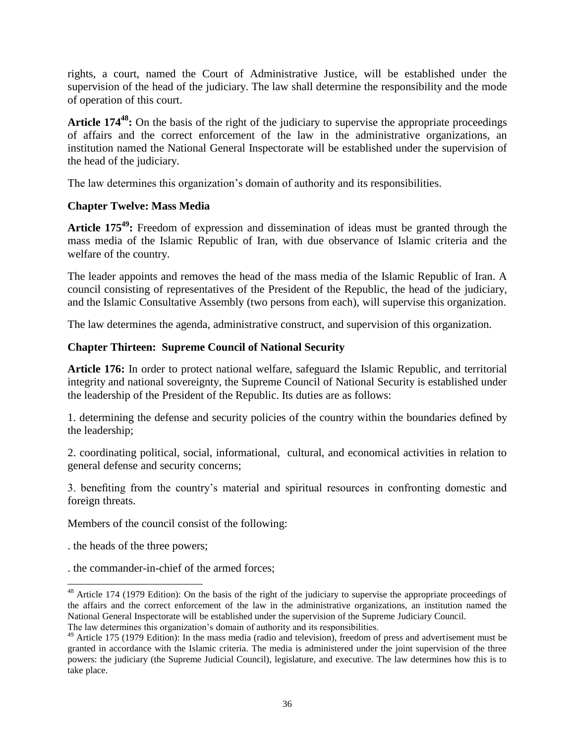rights, a court, named the Court of Administrative Justice, will be established under the supervision of the head of the judiciary. The law shall determine the responsibility and the mode of operation of this court.

**Article 174<sup>48</sup>:** On the basis of the right of the judiciary to supervise the appropriate proceedings of affairs and the correct enforcement of the law in the administrative organizations, an institution named the National General Inspectorate will be established under the supervision of the head of the judiciary.

The law determines this organization's domain of authority and its responsibilities.

# **Chapter Twelve: Mass Media**

**Article 175<sup>49</sup>:** Freedom of expression and dissemination of ideas must be granted through the mass media of the Islamic Republic of Iran, with due observance of Islamic criteria and the welfare of the country.

The leader appoints and removes the head of the mass media of the Islamic Republic of Iran. A council consisting of representatives of the President of the Republic, the head of the judiciary, and the Islamic Consultative Assembly (two persons from each), will supervise this organization.

The law determines the agenda, administrative construct, and supervision of this organization.

# **Chapter Thirteen: Supreme Council of National Security**

**Article 176:** In order to protect national welfare, safeguard the Islamic Republic, and territorial integrity and national sovereignty, the Supreme Council of National Security is established under the leadership of the President of the Republic. Its duties are as follows:

1. determining the defense and security policies of the country within the boundaries defined by the leadership;

2. coordinating political, social, informational, cultural, and economical activities in relation to general defense and security concerns;

3. benefiting from the country's material and spiritual resources in confronting domestic and foreign threats.

Members of the council consist of the following:

. the heads of the three powers;

. the commander-in-chief of the armed forces;

 $\overline{a}$  $48$  Article 174 (1979 Edition): On the basis of the right of the judiciary to supervise the appropriate proceedings of the affairs and the correct enforcement of the law in the administrative organizations, an institution named the National General Inspectorate will be established under the supervision of the Supreme Judiciary Council. The law determines this organization's domain of authority and its responsibilities.

<sup>&</sup>lt;sup>49</sup> Article 175 (1979 Edition): In the mass media (radio and television), freedom of press and advertisement must be granted in accordance with the Islamic criteria. The media is administered under the joint supervision of the three powers: the judiciary (the Supreme Judicial Council), legislature, and executive. The law determines how this is to take place.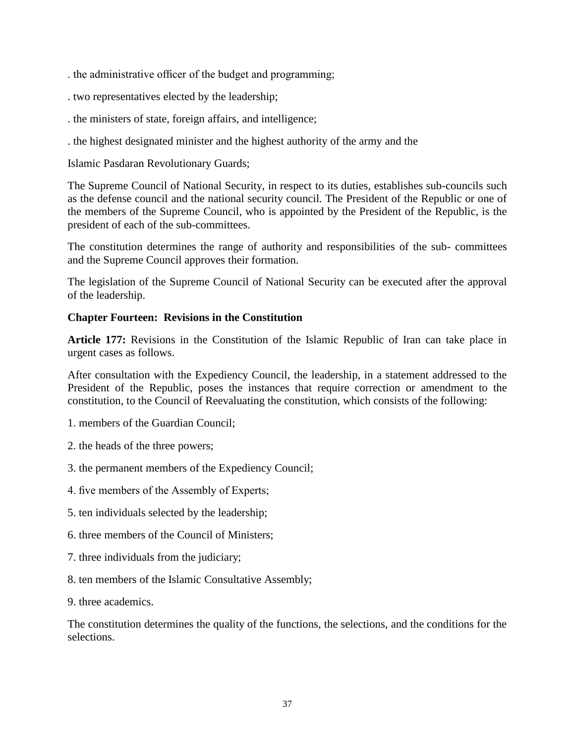. the administrative officer of the budget and programming;

- . two representatives elected by the leadership;
- . the ministers of state, foreign affairs, and intelligence;
- . the highest designated minister and the highest authority of the army and the

Islamic Pasdaran Revolutionary Guards;

The Supreme Council of National Security, in respect to its duties, establishes sub-councils such as the defense council and the national security council. The President of the Republic or one of the members of the Supreme Council, who is appointed by the President of the Republic, is the president of each of the sub-committees.

The constitution determines the range of authority and responsibilities of the sub- committees and the Supreme Council approves their formation.

The legislation of the Supreme Council of National Security can be executed after the approval of the leadership.

#### **Chapter Fourteen: Revisions in the Constitution**

**Article 177:** Revisions in the Constitution of the Islamic Republic of Iran can take place in urgent cases as follows.

After consultation with the Expediency Council, the leadership, in a statement addressed to the President of the Republic, poses the instances that require correction or amendment to the constitution, to the Council of Reevaluating the constitution, which consists of the following:

- 1. members of the Guardian Council;
- 2. the heads of the three powers;
- 3. the permanent members of the Expediency Council;
- 4. five members of the Assembly of Experts;
- 5. ten individuals selected by the leadership;
- 6. three members of the Council of Ministers;
- 7. three individuals from the judiciary;
- 8. ten members of the Islamic Consultative Assembly;
- 9. three academics.

The constitution determines the quality of the functions, the selections, and the conditions for the selections.